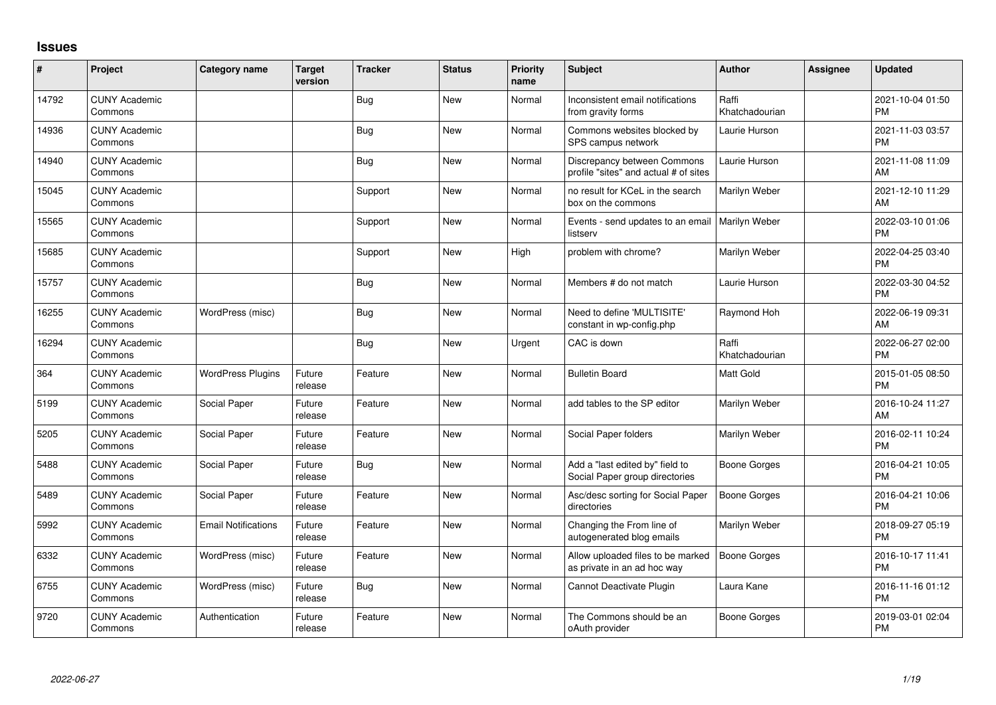## **Issues**

| #     | Project                         | <b>Category name</b>       | <b>Target</b><br>version | <b>Tracker</b> | <b>Status</b> | Priority<br>name | <b>Subject</b>                                                       | <b>Author</b>           | <b>Assignee</b> | <b>Updated</b>                |
|-------|---------------------------------|----------------------------|--------------------------|----------------|---------------|------------------|----------------------------------------------------------------------|-------------------------|-----------------|-------------------------------|
| 14792 | <b>CUNY Academic</b><br>Commons |                            |                          | i Bug          | <b>New</b>    | Normal           | Inconsistent email notifications<br>from gravity forms               | Raffi<br>Khatchadourian |                 | 2021-10-04 01:50<br><b>PM</b> |
| 14936 | <b>CUNY Academic</b><br>Commons |                            |                          | <b>Bug</b>     | <b>New</b>    | Normal           | Commons websites blocked by<br>SPS campus network                    | Laurie Hurson           |                 | 2021-11-03 03:57<br><b>PM</b> |
| 14940 | <b>CUNY Academic</b><br>Commons |                            |                          | <b>Bug</b>     | <b>New</b>    | Normal           | Discrepancy between Commons<br>profile "sites" and actual # of sites | Laurie Hurson           |                 | 2021-11-08 11:09<br>AM        |
| 15045 | <b>CUNY Academic</b><br>Commons |                            |                          | Support        | <b>New</b>    | Normal           | no result for KCeL in the search<br>box on the commons               | Marilyn Weber           |                 | 2021-12-10 11:29<br>AM        |
| 15565 | <b>CUNY Academic</b><br>Commons |                            |                          | Support        | <b>New</b>    | Normal           | Events - send updates to an email<br>listserv                        | <b>Marilyn Weber</b>    |                 | 2022-03-10 01:06<br><b>PM</b> |
| 15685 | <b>CUNY Academic</b><br>Commons |                            |                          | Support        | <b>New</b>    | High             | problem with chrome?                                                 | Marilyn Weber           |                 | 2022-04-25 03:40<br><b>PM</b> |
| 15757 | <b>CUNY Academic</b><br>Commons |                            |                          | <b>Bug</b>     | <b>New</b>    | Normal           | Members # do not match                                               | Laurie Hurson           |                 | 2022-03-30 04:52<br><b>PM</b> |
| 16255 | <b>CUNY Academic</b><br>Commons | WordPress (misc)           |                          | <b>Bug</b>     | <b>New</b>    | Normal           | Need to define 'MULTISITE'<br>constant in wp-config.php              | Raymond Hoh             |                 | 2022-06-19 09:31<br>AM        |
| 16294 | <b>CUNY Academic</b><br>Commons |                            |                          | <b>Bug</b>     | <b>New</b>    | Urgent           | CAC is down                                                          | Raffi<br>Khatchadourian |                 | 2022-06-27 02:00<br><b>PM</b> |
| 364   | <b>CUNY Academic</b><br>Commons | <b>WordPress Plugins</b>   | Future<br>release        | Feature        | <b>New</b>    | Normal           | <b>Bulletin Board</b>                                                | Matt Gold               |                 | 2015-01-05 08:50<br><b>PM</b> |
| 5199  | <b>CUNY Academic</b><br>Commons | Social Paper               | Future<br>release        | Feature        | <b>New</b>    | Normal           | add tables to the SP editor                                          | Marilyn Weber           |                 | 2016-10-24 11:27<br>AM        |
| 5205  | <b>CUNY Academic</b><br>Commons | Social Paper               | Future<br>release        | Feature        | <b>New</b>    | Normal           | Social Paper folders                                                 | Marilyn Weber           |                 | 2016-02-11 10:24<br><b>PM</b> |
| 5488  | <b>CUNY Academic</b><br>Commons | Social Paper               | Future<br>release        | <b>Bug</b>     | <b>New</b>    | Normal           | Add a "last edited by" field to<br>Social Paper group directories    | <b>Boone Gorges</b>     |                 | 2016-04-21 10:05<br><b>PM</b> |
| 5489  | <b>CUNY Academic</b><br>Commons | Social Paper               | Future<br>release        | Feature        | <b>New</b>    | Normal           | Asc/desc sorting for Social Paper<br>directories                     | <b>Boone Gorges</b>     |                 | 2016-04-21 10:06<br><b>PM</b> |
| 5992  | <b>CUNY Academic</b><br>Commons | <b>Email Notifications</b> | Future<br>release        | Feature        | New           | Normal           | Changing the From line of<br>autogenerated blog emails               | Marilyn Weber           |                 | 2018-09-27 05:19<br><b>PM</b> |
| 6332  | <b>CUNY Academic</b><br>Commons | WordPress (misc)           | Future<br>release        | Feature        | <b>New</b>    | Normal           | Allow uploaded files to be marked<br>as private in an ad hoc way     | <b>Boone Gorges</b>     |                 | 2016-10-17 11:41<br>PM        |
| 6755  | <b>CUNY Academic</b><br>Commons | WordPress (misc)           | Future<br>release        | <b>Bug</b>     | New           | Normal           | Cannot Deactivate Plugin                                             | Laura Kane              |                 | 2016-11-16 01:12<br><b>PM</b> |
| 9720  | <b>CUNY Academic</b><br>Commons | Authentication             | Future<br>release        | Feature        | <b>New</b>    | Normal           | The Commons should be an<br>oAuth provider                           | Boone Gorges            |                 | 2019-03-01 02:04<br>PM        |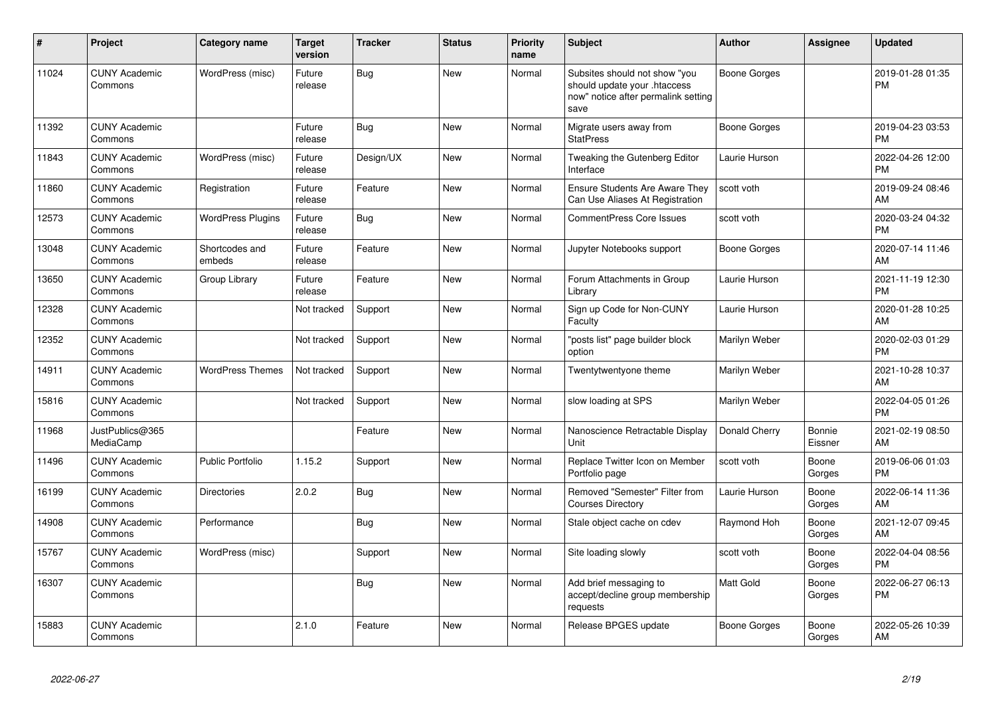| #     | <b>Project</b>                  | Category name            | <b>Target</b><br>version | <b>Tracker</b> | <b>Status</b> | <b>Priority</b><br>name | <b>Subject</b>                                                                                               | <b>Author</b>       | <b>Assignee</b>   | <b>Updated</b>                |
|-------|---------------------------------|--------------------------|--------------------------|----------------|---------------|-------------------------|--------------------------------------------------------------------------------------------------------------|---------------------|-------------------|-------------------------------|
| 11024 | <b>CUNY Academic</b><br>Commons | WordPress (misc)         | Future<br>release        | <b>Bug</b>     | <b>New</b>    | Normal                  | Subsites should not show "you<br>should update your .htaccess<br>now" notice after permalink setting<br>save | <b>Boone Gorges</b> |                   | 2019-01-28 01:35<br><b>PM</b> |
| 11392 | <b>CUNY Academic</b><br>Commons |                          | Future<br>release        | Bug            | <b>New</b>    | Normal                  | Migrate users away from<br><b>StatPress</b>                                                                  | <b>Boone Gorges</b> |                   | 2019-04-23 03:53<br><b>PM</b> |
| 11843 | <b>CUNY Academic</b><br>Commons | WordPress (misc)         | Future<br>release        | Design/UX      | <b>New</b>    | Normal                  | Tweaking the Gutenberg Editor<br>Interface                                                                   | Laurie Hurson       |                   | 2022-04-26 12:00<br><b>PM</b> |
| 11860 | <b>CUNY Academic</b><br>Commons | Registration             | Future<br>release        | Feature        | <b>New</b>    | Normal                  | Ensure Students Are Aware They<br>Can Use Aliases At Registration                                            | scott voth          |                   | 2019-09-24 08:46<br>AM        |
| 12573 | <b>CUNY Academic</b><br>Commons | <b>WordPress Plugins</b> | Future<br>release        | <b>Bug</b>     | <b>New</b>    | Normal                  | <b>CommentPress Core Issues</b>                                                                              | scott voth          |                   | 2020-03-24 04:32<br><b>PM</b> |
| 13048 | <b>CUNY Academic</b><br>Commons | Shortcodes and<br>embeds | Future<br>release        | Feature        | <b>New</b>    | Normal                  | Jupyter Notebooks support                                                                                    | <b>Boone Gorges</b> |                   | 2020-07-14 11:46<br>AM        |
| 13650 | <b>CUNY Academic</b><br>Commons | Group Library            | Future<br>release        | Feature        | <b>New</b>    | Normal                  | Forum Attachments in Group<br>Library                                                                        | Laurie Hurson       |                   | 2021-11-19 12:30<br><b>PM</b> |
| 12328 | <b>CUNY Academic</b><br>Commons |                          | Not tracked              | Support        | New           | Normal                  | Sign up Code for Non-CUNY<br>Faculty                                                                         | Laurie Hurson       |                   | 2020-01-28 10:25<br>AM        |
| 12352 | <b>CUNY Academic</b><br>Commons |                          | Not tracked              | Support        | <b>New</b>    | Normal                  | "posts list" page builder block<br>option                                                                    | Marilyn Weber       |                   | 2020-02-03 01:29<br><b>PM</b> |
| 14911 | <b>CUNY Academic</b><br>Commons | <b>WordPress Themes</b>  | Not tracked              | Support        | <b>New</b>    | Normal                  | Twentytwentyone theme                                                                                        | Marilyn Weber       |                   | 2021-10-28 10:37<br>AM        |
| 15816 | <b>CUNY Academic</b><br>Commons |                          | Not tracked              | Support        | <b>New</b>    | Normal                  | slow loading at SPS                                                                                          | Marilyn Weber       |                   | 2022-04-05 01:26<br><b>PM</b> |
| 11968 | JustPublics@365<br>MediaCamp    |                          |                          | Feature        | <b>New</b>    | Normal                  | Nanoscience Retractable Display<br>Unit                                                                      | Donald Cherry       | Bonnie<br>Eissner | 2021-02-19 08:50<br>AM        |
| 11496 | <b>CUNY Academic</b><br>Commons | <b>Public Portfolio</b>  | 1.15.2                   | Support        | <b>New</b>    | Normal                  | Replace Twitter Icon on Member<br>Portfolio page                                                             | scott voth          | Boone<br>Gorges   | 2019-06-06 01:03<br><b>PM</b> |
| 16199 | <b>CUNY Academic</b><br>Commons | <b>Directories</b>       | 2.0.2                    | <b>Bug</b>     | <b>New</b>    | Normal                  | Removed "Semester" Filter from<br><b>Courses Directory</b>                                                   | Laurie Hurson       | Boone<br>Gorges   | 2022-06-14 11:36<br>AM        |
| 14908 | <b>CUNY Academic</b><br>Commons | Performance              |                          | Bug            | New           | Normal                  | Stale object cache on cdev                                                                                   | Raymond Hoh         | Boone<br>Gorges   | 2021-12-07 09:45<br>AM        |
| 15767 | <b>CUNY Academic</b><br>Commons | WordPress (misc)         |                          | Support        | <b>New</b>    | Normal                  | Site loading slowly                                                                                          | scott voth          | Boone<br>Gorges   | 2022-04-04 08:56<br><b>PM</b> |
| 16307 | <b>CUNY Academic</b><br>Commons |                          |                          | <b>Bug</b>     | <b>New</b>    | Normal                  | Add brief messaging to<br>accept/decline group membership<br>requests                                        | Matt Gold           | Boone<br>Gorges   | 2022-06-27 06:13<br><b>PM</b> |
| 15883 | <b>CUNY Academic</b><br>Commons |                          | 2.1.0                    | Feature        | <b>New</b>    | Normal                  | Release BPGES update                                                                                         | Boone Gorges        | Boone<br>Gorges   | 2022-05-26 10:39<br>AM        |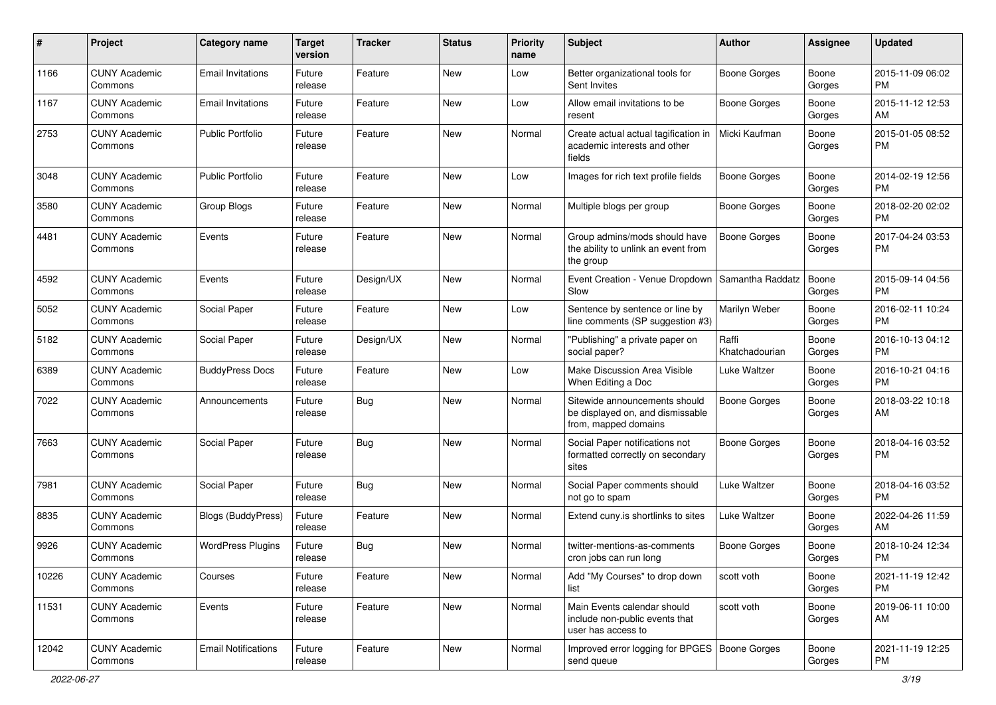| #     | Project                         | <b>Category name</b>       | <b>Target</b><br>version | <b>Tracker</b> | <b>Status</b> | <b>Priority</b><br>name | Subject                                                                                   | Author                  | <b>Assignee</b> | <b>Updated</b>                |
|-------|---------------------------------|----------------------------|--------------------------|----------------|---------------|-------------------------|-------------------------------------------------------------------------------------------|-------------------------|-----------------|-------------------------------|
| 1166  | <b>CUNY Academic</b><br>Commons | <b>Email Invitations</b>   | Future<br>release        | Feature        | New           | Low                     | Better organizational tools for<br>Sent Invites                                           | Boone Gorges            | Boone<br>Gorges | 2015-11-09 06:02<br><b>PM</b> |
| 1167  | <b>CUNY Academic</b><br>Commons | <b>Email Invitations</b>   | Future<br>release        | Feature        | New           | Low                     | Allow email invitations to be<br>resent                                                   | <b>Boone Gorges</b>     | Boone<br>Gorges | 2015-11-12 12:53<br>AM        |
| 2753  | <b>CUNY Academic</b><br>Commons | <b>Public Portfolio</b>    | Future<br>release        | Feature        | New           | Normal                  | Create actual actual tagification in<br>academic interests and other<br>fields            | Micki Kaufman           | Boone<br>Gorges | 2015-01-05 08:52<br><b>PM</b> |
| 3048  | <b>CUNY Academic</b><br>Commons | <b>Public Portfolio</b>    | Future<br>release        | Feature        | New           | Low                     | Images for rich text profile fields                                                       | <b>Boone Gorges</b>     | Boone<br>Gorges | 2014-02-19 12:56<br><b>PM</b> |
| 3580  | <b>CUNY Academic</b><br>Commons | Group Blogs                | Future<br>release        | Feature        | <b>New</b>    | Normal                  | Multiple blogs per group                                                                  | <b>Boone Gorges</b>     | Boone<br>Gorges | 2018-02-20 02:02<br><b>PM</b> |
| 4481  | <b>CUNY Academic</b><br>Commons | Events                     | Future<br>release        | Feature        | <b>New</b>    | Normal                  | Group admins/mods should have<br>the ability to unlink an event from<br>the group         | Boone Gorges            | Boone<br>Gorges | 2017-04-24 03:53<br><b>PM</b> |
| 4592  | <b>CUNY Academic</b><br>Commons | Events                     | Future<br>release        | Design/UX      | <b>New</b>    | Normal                  | Event Creation - Venue Dropdown<br>Slow                                                   | Samantha Raddatz        | Boone<br>Gorges | 2015-09-14 04:56<br><b>PM</b> |
| 5052  | <b>CUNY Academic</b><br>Commons | Social Paper               | Future<br>release        | Feature        | <b>New</b>    | Low                     | Sentence by sentence or line by<br>line comments (SP suggestion #3)                       | Marilyn Weber           | Boone<br>Gorges | 2016-02-11 10:24<br><b>PM</b> |
| 5182  | <b>CUNY Academic</b><br>Commons | Social Paper               | Future<br>release        | Design/UX      | <b>New</b>    | Normal                  | "Publishing" a private paper on<br>social paper?                                          | Raffi<br>Khatchadourian | Boone<br>Gorges | 2016-10-13 04:12<br><b>PM</b> |
| 6389  | <b>CUNY Academic</b><br>Commons | <b>BuddyPress Docs</b>     | Future<br>release        | Feature        | <b>New</b>    | Low                     | Make Discussion Area Visible<br>When Editing a Doc                                        | Luke Waltzer            | Boone<br>Gorges | 2016-10-21 04:16<br><b>PM</b> |
| 7022  | <b>CUNY Academic</b><br>Commons | Announcements              | Future<br>release        | <b>Bug</b>     | <b>New</b>    | Normal                  | Sitewide announcements should<br>be displayed on, and dismissable<br>from, mapped domains | <b>Boone Gorges</b>     | Boone<br>Gorges | 2018-03-22 10:18<br>AM        |
| 7663  | <b>CUNY Academic</b><br>Commons | Social Paper               | Future<br>release        | <b>Bug</b>     | <b>New</b>    | Normal                  | Social Paper notifications not<br>formatted correctly on secondary<br>sites               | <b>Boone Gorges</b>     | Boone<br>Gorges | 2018-04-16 03:52<br><b>PM</b> |
| 7981  | <b>CUNY Academic</b><br>Commons | Social Paper               | Future<br>release        | <b>Bug</b>     | <b>New</b>    | Normal                  | Social Paper comments should<br>not go to spam                                            | Luke Waltzer            | Boone<br>Gorges | 2018-04-16 03:52<br><b>PM</b> |
| 8835  | <b>CUNY Academic</b><br>Commons | Blogs (BuddyPress)         | Future<br>release        | Feature        | <b>New</b>    | Normal                  | Extend cuny.is shortlinks to sites                                                        | Luke Waltzer            | Boone<br>Gorges | 2022-04-26 11:59<br>AM        |
| 9926  | <b>CUNY Academic</b><br>Commons | <b>WordPress Plugins</b>   | Future<br>release        | <b>Bug</b>     | New           | Normal                  | twitter-mentions-as-comments<br>cron jobs can run long                                    | Boone Gorges            | Boone<br>Gorges | 2018-10-24 12:34<br><b>PM</b> |
| 10226 | <b>CUNY Academic</b><br>Commons | Courses                    | Future<br>release        | Feature        | New           | Normal                  | Add "My Courses" to drop down<br>list                                                     | scott voth              | Boone<br>Gorges | 2021-11-19 12:42<br><b>PM</b> |
| 11531 | <b>CUNY Academic</b><br>Commons | Events                     | Future<br>release        | Feature        | New           | Normal                  | Main Events calendar should<br>include non-public events that<br>user has access to       | scott voth              | Boone<br>Gorges | 2019-06-11 10:00<br>AM        |
| 12042 | <b>CUNY Academic</b><br>Commons | <b>Email Notifications</b> | Future<br>release        | Feature        | New           | Normal                  | Improved error logging for BPGES   Boone Gorges<br>send queue                             |                         | Boone<br>Gorges | 2021-11-19 12:25<br>PM        |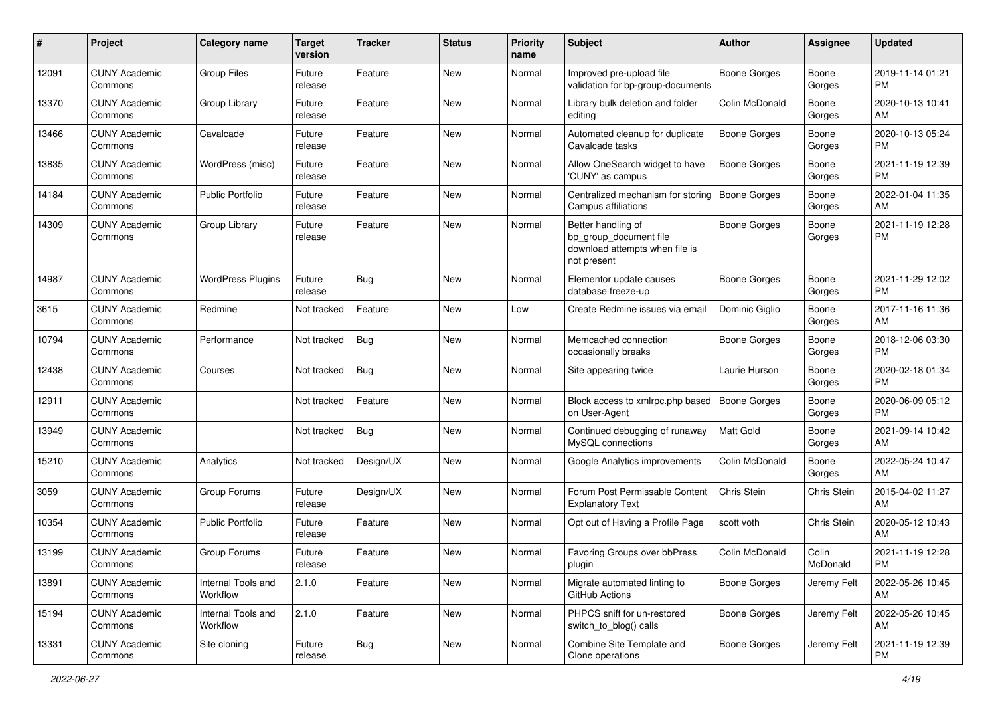| #     | Project                         | <b>Category name</b>           | <b>Target</b><br>version | <b>Tracker</b> | <b>Status</b> | <b>Priority</b><br>name | Subject                                                                                       | Author              | <b>Assignee</b>   | <b>Updated</b>                |
|-------|---------------------------------|--------------------------------|--------------------------|----------------|---------------|-------------------------|-----------------------------------------------------------------------------------------------|---------------------|-------------------|-------------------------------|
| 12091 | <b>CUNY Academic</b><br>Commons | <b>Group Files</b>             | Future<br>release        | Feature        | New           | Normal                  | Improved pre-upload file<br>validation for bp-group-documents                                 | <b>Boone Gorges</b> | Boone<br>Gorges   | 2019-11-14 01:21<br><b>PM</b> |
| 13370 | <b>CUNY Academic</b><br>Commons | Group Library                  | Future<br>release        | Feature        | <b>New</b>    | Normal                  | Library bulk deletion and folder<br>editing                                                   | Colin McDonald      | Boone<br>Gorges   | 2020-10-13 10:41<br>AM        |
| 13466 | <b>CUNY Academic</b><br>Commons | Cavalcade                      | Future<br>release        | Feature        | <b>New</b>    | Normal                  | Automated cleanup for duplicate<br>Cavalcade tasks                                            | Boone Gorges        | Boone<br>Gorges   | 2020-10-13 05:24<br><b>PM</b> |
| 13835 | <b>CUNY Academic</b><br>Commons | WordPress (misc)               | Future<br>release        | Feature        | <b>New</b>    | Normal                  | Allow OneSearch widget to have<br>'CUNY' as campus                                            | Boone Gorges        | Boone<br>Gorges   | 2021-11-19 12:39<br><b>PM</b> |
| 14184 | <b>CUNY Academic</b><br>Commons | <b>Public Portfolio</b>        | Future<br>release        | Feature        | New           | Normal                  | Centralized mechanism for storing<br>Campus affiliations                                      | <b>Boone Gorges</b> | Boone<br>Gorges   | 2022-01-04 11:35<br>AM        |
| 14309 | <b>CUNY Academic</b><br>Commons | Group Library                  | Future<br>release        | Feature        | New           | Normal                  | Better handling of<br>bp_group_document file<br>download attempts when file is<br>not present | <b>Boone Gorges</b> | Boone<br>Gorges   | 2021-11-19 12:28<br><b>PM</b> |
| 14987 | <b>CUNY Academic</b><br>Commons | <b>WordPress Plugins</b>       | Future<br>release        | <b>Bug</b>     | <b>New</b>    | Normal                  | Elementor update causes<br>database freeze-up                                                 | <b>Boone Gorges</b> | Boone<br>Gorges   | 2021-11-29 12:02<br><b>PM</b> |
| 3615  | <b>CUNY Academic</b><br>Commons | Redmine                        | Not tracked              | Feature        | <b>New</b>    | Low                     | Create Redmine issues via email                                                               | Dominic Giglio      | Boone<br>Gorges   | 2017-11-16 11:36<br>AM        |
| 10794 | <b>CUNY Academic</b><br>Commons | Performance                    | Not tracked              | <b>Bug</b>     | <b>New</b>    | Normal                  | Memcached connection<br>occasionally breaks                                                   | <b>Boone Gorges</b> | Boone<br>Gorges   | 2018-12-06 03:30<br><b>PM</b> |
| 12438 | <b>CUNY Academic</b><br>Commons | Courses                        | Not tracked              | <b>Bug</b>     | <b>New</b>    | Normal                  | Site appearing twice                                                                          | Laurie Hurson       | Boone<br>Gorges   | 2020-02-18 01:34<br><b>PM</b> |
| 12911 | <b>CUNY Academic</b><br>Commons |                                | Not tracked              | Feature        | New           | Normal                  | Block access to xmlrpc.php based<br>on User-Agent                                             | <b>Boone Gorges</b> | Boone<br>Gorges   | 2020-06-09 05:12<br><b>PM</b> |
| 13949 | <b>CUNY Academic</b><br>Commons |                                | Not tracked              | <b>Bug</b>     | <b>New</b>    | Normal                  | Continued debugging of runaway<br>MySQL connections                                           | Matt Gold           | Boone<br>Gorges   | 2021-09-14 10:42<br>AM        |
| 15210 | <b>CUNY Academic</b><br>Commons | Analytics                      | Not tracked              | Design/UX      | <b>New</b>    | Normal                  | Google Analytics improvements                                                                 | Colin McDonald      | Boone<br>Gorges   | 2022-05-24 10:47<br>AM        |
| 3059  | <b>CUNY Academic</b><br>Commons | Group Forums                   | Future<br>release        | Design/UX      | <b>New</b>    | Normal                  | Forum Post Permissable Content<br><b>Explanatory Text</b>                                     | Chris Stein         | Chris Stein       | 2015-04-02 11:27<br>AM        |
| 10354 | <b>CUNY Academic</b><br>Commons | <b>Public Portfolio</b>        | Future<br>release        | Feature        | <b>New</b>    | Normal                  | Opt out of Having a Profile Page                                                              | scott voth          | Chris Stein       | 2020-05-12 10:43<br>AM        |
| 13199 | <b>CUNY Academic</b><br>Commons | Group Forums                   | Future<br>release        | Feature        | New           | Normal                  | Favoring Groups over bbPress<br>plugin                                                        | Colin McDonald      | Colin<br>McDonald | 2021-11-19 12:28<br>PM        |
| 13891 | <b>CUNY Academic</b><br>Commons | Internal Tools and<br>Workflow | 2.1.0                    | Feature        | New           | Normal                  | Migrate automated linting to<br><b>GitHub Actions</b>                                         | Boone Gorges        | Jeremy Felt       | 2022-05-26 10:45<br>AM        |
| 15194 | <b>CUNY Academic</b><br>Commons | Internal Tools and<br>Workflow | 2.1.0                    | Feature        | New           | Normal                  | PHPCS sniff for un-restored<br>switch_to_blog() calls                                         | Boone Gorges        | Jeremy Felt       | 2022-05-26 10:45<br>AM        |
| 13331 | <b>CUNY Academic</b><br>Commons | Site cloning                   | Future<br>release        | <b>Bug</b>     | New           | Normal                  | Combine Site Template and<br>Clone operations                                                 | Boone Gorges        | Jeremy Felt       | 2021-11-19 12:39<br><b>PM</b> |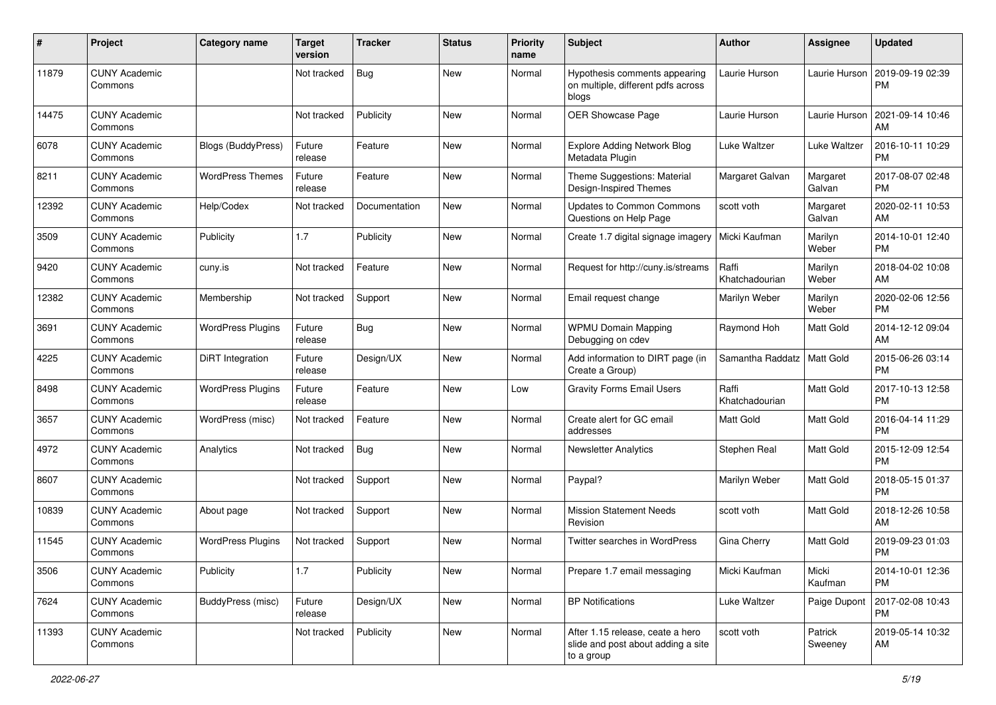| #     | Project                         | <b>Category name</b>     | <b>Target</b><br>version | <b>Tracker</b> | <b>Status</b> | <b>Priority</b><br>name | Subject                                                                              | <b>Author</b>           | <b>Assignee</b>    | <b>Updated</b>                |
|-------|---------------------------------|--------------------------|--------------------------|----------------|---------------|-------------------------|--------------------------------------------------------------------------------------|-------------------------|--------------------|-------------------------------|
| 11879 | <b>CUNY Academic</b><br>Commons |                          | Not tracked              | <b>Bug</b>     | <b>New</b>    | Normal                  | Hypothesis comments appearing<br>on multiple, different pdfs across<br>blogs         | Laurie Hurson           | Laurie Hurson      | 2019-09-19 02:39<br>PM        |
| 14475 | <b>CUNY Academic</b><br>Commons |                          | Not tracked              | Publicity      | <b>New</b>    | Normal                  | <b>OER Showcase Page</b>                                                             | Laurie Hurson           | Laurie Hurson      | 2021-09-14 10:46<br>AM        |
| 6078  | <b>CUNY Academic</b><br>Commons | Blogs (BuddyPress)       | Future<br>release        | Feature        | New           | Normal                  | <b>Explore Adding Network Blog</b><br>Metadata Plugin                                | Luke Waltzer            | Luke Waltzer       | 2016-10-11 10:29<br><b>PM</b> |
| 8211  | <b>CUNY Academic</b><br>Commons | <b>WordPress Themes</b>  | Future<br>release        | Feature        | New           | Normal                  | Theme Suggestions: Material<br>Design-Inspired Themes                                | Margaret Galvan         | Margaret<br>Galvan | 2017-08-07 02:48<br><b>PM</b> |
| 12392 | <b>CUNY Academic</b><br>Commons | Help/Codex               | Not tracked              | Documentation  | New           | Normal                  | <b>Updates to Common Commons</b><br>Questions on Help Page                           | scott voth              | Margaret<br>Galvan | 2020-02-11 10:53<br>AM        |
| 3509  | <b>CUNY Academic</b><br>Commons | Publicity                | 1.7                      | Publicity      | <b>New</b>    | Normal                  | Create 1.7 digital signage imagery                                                   | Micki Kaufman           | Marilyn<br>Weber   | 2014-10-01 12:40<br><b>PM</b> |
| 9420  | <b>CUNY Academic</b><br>Commons | cuny.is                  | Not tracked              | Feature        | New           | Normal                  | Request for http://cuny.is/streams                                                   | Raffi<br>Khatchadourian | Marilyn<br>Weber   | 2018-04-02 10:08<br>AM        |
| 12382 | <b>CUNY Academic</b><br>Commons | Membership               | Not tracked              | Support        | New           | Normal                  | Email request change                                                                 | Marilyn Weber           | Marilyn<br>Weber   | 2020-02-06 12:56<br><b>PM</b> |
| 3691  | <b>CUNY Academic</b><br>Commons | <b>WordPress Plugins</b> | Future<br>release        | <b>Bug</b>     | <b>New</b>    | Normal                  | <b>WPMU Domain Mapping</b><br>Debugging on cdev                                      | Raymond Hoh             | <b>Matt Gold</b>   | 2014-12-12 09:04<br>AM        |
| 4225  | <b>CUNY Academic</b><br>Commons | <b>DiRT</b> Integration  | Future<br>release        | Design/UX      | New           | Normal                  | Add information to DIRT page (in<br>Create a Group)                                  | Samantha Raddatz        | Matt Gold          | 2015-06-26 03:14<br><b>PM</b> |
| 8498  | <b>CUNY Academic</b><br>Commons | <b>WordPress Plugins</b> | Future<br>release        | Feature        | <b>New</b>    | Low                     | <b>Gravity Forms Email Users</b>                                                     | Raffi<br>Khatchadourian | Matt Gold          | 2017-10-13 12:58<br><b>PM</b> |
| 3657  | <b>CUNY Academic</b><br>Commons | WordPress (misc)         | Not tracked              | Feature        | New           | Normal                  | Create alert for GC email<br>addresses                                               | Matt Gold               | Matt Gold          | 2016-04-14 11:29<br><b>PM</b> |
| 4972  | <b>CUNY Academic</b><br>Commons | Analytics                | Not tracked              | Bug            | <b>New</b>    | Normal                  | <b>Newsletter Analytics</b>                                                          | Stephen Real            | Matt Gold          | 2015-12-09 12:54<br><b>PM</b> |
| 8607  | <b>CUNY Academic</b><br>Commons |                          | Not tracked              | Support        | New           | Normal                  | Paypal?                                                                              | Marilyn Weber           | Matt Gold          | 2018-05-15 01:37<br><b>PM</b> |
| 10839 | <b>CUNY Academic</b><br>Commons | About page               | Not tracked              | Support        | New           | Normal                  | <b>Mission Statement Needs</b><br>Revision                                           | scott voth              | Matt Gold          | 2018-12-26 10:58<br>AM        |
| 11545 | <b>CUNY Academic</b><br>Commons | <b>WordPress Plugins</b> | Not tracked              | Support        | New           | Normal                  | <b>Twitter searches in WordPress</b>                                                 | Gina Cherry             | <b>Matt Gold</b>   | 2019-09-23 01:03<br><b>PM</b> |
| 3506  | <b>CUNY Academic</b><br>Commons | Publicity                | 1.7                      | Publicity      | New           | Normal                  | Prepare 1.7 email messaging                                                          | Micki Kaufman           | Micki<br>Kaufman   | 2014-10-01 12:36<br>PM        |
| 7624  | <b>CUNY Academic</b><br>Commons | BuddyPress (misc)        | Future<br>release        | Design/UX      | New           | Normal                  | <b>BP Notifications</b>                                                              | Luke Waltzer            | Paige Dupont       | 2017-02-08 10:43<br>PM        |
| 11393 | <b>CUNY Academic</b><br>Commons |                          | Not tracked              | Publicity      | New           | Normal                  | After 1.15 release, ceate a hero<br>slide and post about adding a site<br>to a group | scott voth              | Patrick<br>Sweeney | 2019-05-14 10:32<br>AM        |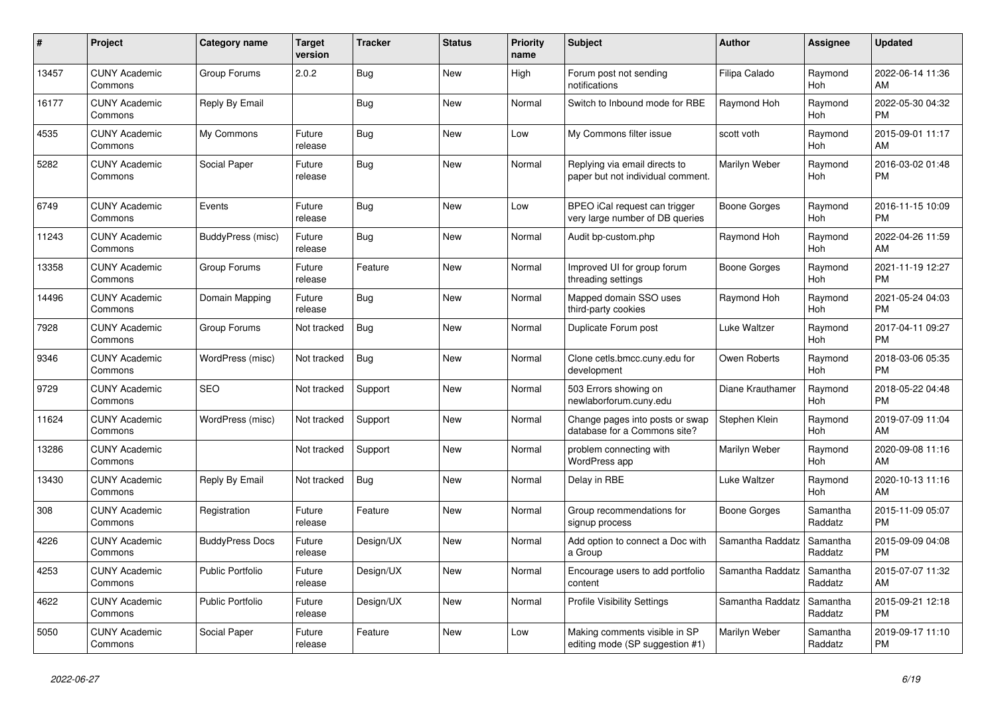| #     | <b>Project</b>                  | Category name           | <b>Target</b><br>version | <b>Tracker</b> | <b>Status</b> | Priority<br>name | <b>Subject</b>                                                     | <b>Author</b>    | Assignee              | <b>Updated</b>                |
|-------|---------------------------------|-------------------------|--------------------------|----------------|---------------|------------------|--------------------------------------------------------------------|------------------|-----------------------|-------------------------------|
| 13457 | <b>CUNY Academic</b><br>Commons | Group Forums            | 2.0.2                    | Bug            | <b>New</b>    | High             | Forum post not sending<br>notifications                            | Filipa Calado    | Raymond<br><b>Hoh</b> | 2022-06-14 11:36<br>AM        |
| 16177 | <b>CUNY Academic</b><br>Commons | Reply By Email          |                          | Bug            | <b>New</b>    | Normal           | Switch to Inbound mode for RBE                                     | Raymond Hoh      | Raymond<br>Hoh        | 2022-05-30 04:32<br><b>PM</b> |
| 4535  | <b>CUNY Academic</b><br>Commons | My Commons              | Future<br>release        | <b>Bug</b>     | New           | Low              | My Commons filter issue                                            | scott voth       | Raymond<br>Hoh        | 2015-09-01 11:17<br>AM        |
| 5282  | <b>CUNY Academic</b><br>Commons | Social Paper            | Future<br>release        | <b>Bug</b>     | <b>New</b>    | Normal           | Replying via email directs to<br>paper but not individual comment. | Marilyn Weber    | Raymond<br><b>Hoh</b> | 2016-03-02 01:48<br><b>PM</b> |
| 6749  | <b>CUNY Academic</b><br>Commons | Events                  | Future<br>release        | <b>Bug</b>     | <b>New</b>    | Low              | BPEO iCal request can trigger<br>very large number of DB queries   | Boone Gorges     | Raymond<br>Hoh        | 2016-11-15 10:09<br><b>PM</b> |
| 11243 | <b>CUNY Academic</b><br>Commons | BuddyPress (misc)       | Future<br>release        | Bug            | <b>New</b>    | Normal           | Audit bp-custom.php                                                | Raymond Hoh      | Raymond<br><b>Hoh</b> | 2022-04-26 11:59<br>AM        |
| 13358 | <b>CUNY Academic</b><br>Commons | Group Forums            | Future<br>release        | Feature        | <b>New</b>    | Normal           | Improved UI for group forum<br>threading settings                  | Boone Gorges     | Raymond<br><b>Hoh</b> | 2021-11-19 12:27<br><b>PM</b> |
| 14496 | <b>CUNY Academic</b><br>Commons | Domain Mapping          | Future<br>release        | Bug            | <b>New</b>    | Normal           | Mapped domain SSO uses<br>third-party cookies                      | Raymond Hoh      | Raymond<br>Hoh        | 2021-05-24 04:03<br><b>PM</b> |
| 7928  | <b>CUNY Academic</b><br>Commons | Group Forums            | Not tracked              | <b>Bug</b>     | <b>New</b>    | Normal           | Duplicate Forum post                                               | Luke Waltzer     | Raymond<br>Hoh        | 2017-04-11 09:27<br><b>PM</b> |
| 9346  | <b>CUNY Academic</b><br>Commons | WordPress (misc)        | Not tracked              | Bug            | <b>New</b>    | Normal           | Clone cetls.bmcc.cuny.edu for<br>development                       | Owen Roberts     | Raymond<br>Hoh        | 2018-03-06 05:35<br><b>PM</b> |
| 9729  | <b>CUNY Academic</b><br>Commons | <b>SEO</b>              | Not tracked              | Support        | <b>New</b>    | Normal           | 503 Errors showing on<br>newlaborforum.cuny.edu                    | Diane Krauthamer | Raymond<br><b>Hoh</b> | 2018-05-22 04:48<br><b>PM</b> |
| 11624 | <b>CUNY Academic</b><br>Commons | WordPress (misc)        | Not tracked              | Support        | <b>New</b>    | Normal           | Change pages into posts or swap<br>database for a Commons site?    | Stephen Klein    | Raymond<br>Hoh        | 2019-07-09 11:04<br>AM        |
| 13286 | <b>CUNY Academic</b><br>Commons |                         | Not tracked              | Support        | <b>New</b>    | Normal           | problem connecting with<br>WordPress app                           | Marilyn Weber    | Raymond<br>Hoh        | 2020-09-08 11:16<br>AM        |
| 13430 | <b>CUNY Academic</b><br>Commons | Reply By Email          | Not tracked              | Bug            | <b>New</b>    | Normal           | Delay in RBE                                                       | Luke Waltzer     | Raymond<br>Hoh        | 2020-10-13 11:16<br>AM        |
| 308   | <b>CUNY Academic</b><br>Commons | Registration            | Future<br>release        | Feature        | <b>New</b>    | Normal           | Group recommendations for<br>signup process                        | Boone Gorges     | Samantha<br>Raddatz   | 2015-11-09 05:07<br><b>PM</b> |
| 4226  | <b>CUNY Academic</b><br>Commons | <b>BuddyPress Docs</b>  | Future<br>release        | Design/UX      | <b>New</b>    | Normal           | Add option to connect a Doc with<br>a Group                        | Samantha Raddatz | Samantha<br>Raddatz   | 2015-09-09 04:08<br><b>PM</b> |
| 4253  | <b>CUNY Academic</b><br>Commons | <b>Public Portfolio</b> | Future<br>release        | Design/UX      | <b>New</b>    | Normal           | Encourage users to add portfolio<br>content                        | Samantha Raddatz | Samantha<br>Raddatz   | 2015-07-07 11:32<br>AM        |
| 4622  | <b>CUNY Academic</b><br>Commons | Public Portfolio        | Future<br>release        | Design/UX      | <b>New</b>    | Normal           | <b>Profile Visibility Settings</b>                                 | Samantha Raddatz | Samantha<br>Raddatz   | 2015-09-21 12:18<br><b>PM</b> |
| 5050  | <b>CUNY Academic</b><br>Commons | Social Paper            | Future<br>release        | Feature        | <b>New</b>    | Low              | Making comments visible in SP<br>editing mode (SP suggestion #1)   | Marilyn Weber    | Samantha<br>Raddatz   | 2019-09-17 11:10<br><b>PM</b> |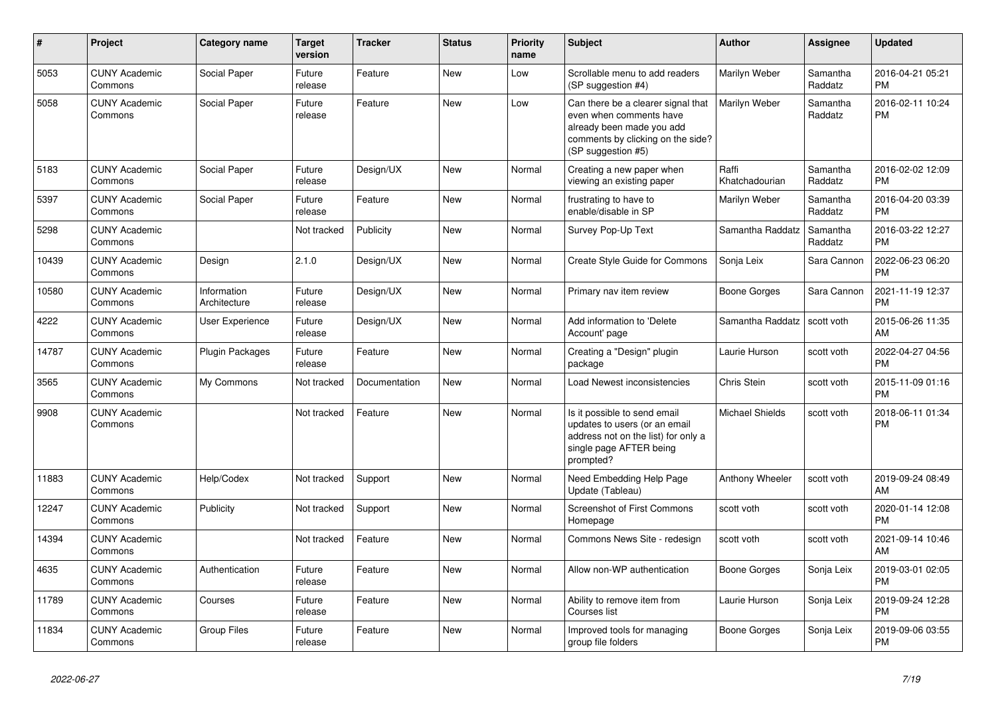| #     | <b>Project</b>                  | <b>Category name</b>        | <b>Target</b><br>version | <b>Tracker</b> | <b>Status</b> | <b>Priority</b><br>name | <b>Subject</b>                                                                                                                                        | Author                  | <b>Assignee</b>     | <b>Updated</b>                |
|-------|---------------------------------|-----------------------------|--------------------------|----------------|---------------|-------------------------|-------------------------------------------------------------------------------------------------------------------------------------------------------|-------------------------|---------------------|-------------------------------|
| 5053  | <b>CUNY Academic</b><br>Commons | Social Paper                | Future<br>release        | Feature        | <b>New</b>    | Low                     | Scrollable menu to add readers<br>(SP suggestion #4)                                                                                                  | Marilyn Weber           | Samantha<br>Raddatz | 2016-04-21 05:21<br><b>PM</b> |
| 5058  | <b>CUNY Academic</b><br>Commons | Social Paper                | Future<br>release        | Feature        | <b>New</b>    | Low                     | Can there be a clearer signal that<br>even when comments have<br>already been made you add<br>comments by clicking on the side?<br>(SP suggestion #5) | Marilyn Weber           | Samantha<br>Raddatz | 2016-02-11 10:24<br><b>PM</b> |
| 5183  | <b>CUNY Academic</b><br>Commons | Social Paper                | Future<br>release        | Design/UX      | New           | Normal                  | Creating a new paper when<br>viewing an existing paper                                                                                                | Raffi<br>Khatchadourian | Samantha<br>Raddatz | 2016-02-02 12:09<br><b>PM</b> |
| 5397  | <b>CUNY Academic</b><br>Commons | Social Paper                | Future<br>release        | Feature        | New           | Normal                  | frustrating to have to<br>enable/disable in SP                                                                                                        | Marilyn Weber           | Samantha<br>Raddatz | 2016-04-20 03:39<br><b>PM</b> |
| 5298  | <b>CUNY Academic</b><br>Commons |                             | Not tracked              | Publicity      | <b>New</b>    | Normal                  | Survey Pop-Up Text                                                                                                                                    | Samantha Raddatz        | Samantha<br>Raddatz | 2016-03-22 12:27<br><b>PM</b> |
| 10439 | <b>CUNY Academic</b><br>Commons | Design                      | 2.1.0                    | Design/UX      | <b>New</b>    | Normal                  | Create Style Guide for Commons                                                                                                                        | Sonja Leix              | Sara Cannon         | 2022-06-23 06:20<br><b>PM</b> |
| 10580 | <b>CUNY Academic</b><br>Commons | Information<br>Architecture | Future<br>release        | Design/UX      | New           | Normal                  | Primary nav item review                                                                                                                               | <b>Boone Gorges</b>     | Sara Cannon         | 2021-11-19 12:37<br><b>PM</b> |
| 4222  | <b>CUNY Academic</b><br>Commons | User Experience             | Future<br>release        | Design/UX      | New           | Normal                  | Add information to 'Delete<br>Account' page                                                                                                           | Samantha Raddatz        | scott voth          | 2015-06-26 11:35<br>AM        |
| 14787 | <b>CUNY Academic</b><br>Commons | <b>Plugin Packages</b>      | Future<br>release        | Feature        | <b>New</b>    | Normal                  | Creating a "Design" plugin<br>package                                                                                                                 | Laurie Hurson           | scott voth          | 2022-04-27 04:56<br><b>PM</b> |
| 3565  | <b>CUNY Academic</b><br>Commons | My Commons                  | Not tracked              | Documentation  | <b>New</b>    | Normal                  | Load Newest inconsistencies                                                                                                                           | Chris Stein             | scott voth          | 2015-11-09 01:16<br><b>PM</b> |
| 9908  | <b>CUNY Academic</b><br>Commons |                             | Not tracked              | Feature        | New           | Normal                  | Is it possible to send email<br>updates to users (or an email<br>address not on the list) for only a<br>single page AFTER being<br>prompted?          | Michael Shields         | scott voth          | 2018-06-11 01:34<br><b>PM</b> |
| 11883 | <b>CUNY Academic</b><br>Commons | Help/Codex                  | Not tracked              | Support        | <b>New</b>    | Normal                  | Need Embedding Help Page<br>Update (Tableau)                                                                                                          | Anthony Wheeler         | scott voth          | 2019-09-24 08:49<br>AM        |
| 12247 | <b>CUNY Academic</b><br>Commons | Publicity                   | Not tracked              | Support        | New           | Normal                  | <b>Screenshot of First Commons</b><br>Homepage                                                                                                        | scott voth              | scott voth          | 2020-01-14 12:08<br><b>PM</b> |
| 14394 | <b>CUNY Academic</b><br>Commons |                             | Not tracked              | Feature        | New           | Normal                  | Commons News Site - redesign                                                                                                                          | scott voth              | scott voth          | 2021-09-14 10:46<br>AM        |
| 4635  | <b>CUNY Academic</b><br>Commons | Authentication              | Future<br>release        | Feature        | New           | Normal                  | Allow non-WP authentication                                                                                                                           | Boone Gorges            | Sonja Leix          | 2019-03-01 02:05<br><b>PM</b> |
| 11789 | <b>CUNY Academic</b><br>Commons | Courses                     | Future<br>release        | Feature        | <b>New</b>    | Normal                  | Ability to remove item from<br>Courses list                                                                                                           | Laurie Hurson           | Sonja Leix          | 2019-09-24 12:28<br><b>PM</b> |
| 11834 | <b>CUNY Academic</b><br>Commons | <b>Group Files</b>          | Future<br>release        | Feature        | <b>New</b>    | Normal                  | Improved tools for managing<br>group file folders                                                                                                     | Boone Gorges            | Sonja Leix          | 2019-09-06 03:55<br><b>PM</b> |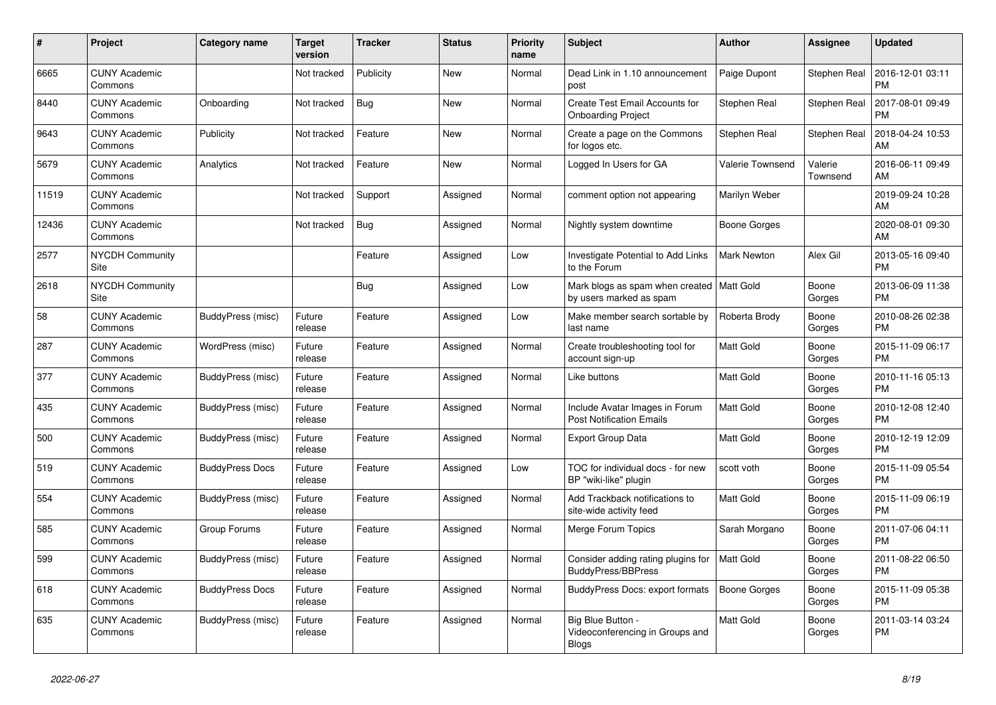| #     | Project                         | Category name          | <b>Target</b><br>version | <b>Tracker</b> | <b>Status</b> | <b>Priority</b><br>name | <b>Subject</b>                                                         | <b>Author</b>           | Assignee            | <b>Updated</b>                |
|-------|---------------------------------|------------------------|--------------------------|----------------|---------------|-------------------------|------------------------------------------------------------------------|-------------------------|---------------------|-------------------------------|
| 6665  | <b>CUNY Academic</b><br>Commons |                        | Not tracked              | Publicity      | <b>New</b>    | Normal                  | Dead Link in 1.10 announcement<br>post                                 | Paige Dupont            | Stephen Real        | 2016-12-01 03:11<br><b>PM</b> |
| 8440  | <b>CUNY Academic</b><br>Commons | Onboarding             | Not tracked              | Bug            | <b>New</b>    | Normal                  | Create Test Email Accounts for<br><b>Onboarding Project</b>            | Stephen Real            | Stephen Real        | 2017-08-01 09:49<br><b>PM</b> |
| 9643  | <b>CUNY Academic</b><br>Commons | Publicity              | Not tracked              | Feature        | <b>New</b>    | Normal                  | Create a page on the Commons<br>for logos etc.                         | Stephen Real            | Stephen Real        | 2018-04-24 10:53<br>AM        |
| 5679  | <b>CUNY Academic</b><br>Commons | Analytics              | Not tracked              | Feature        | <b>New</b>    | Normal                  | Logged In Users for GA                                                 | <b>Valerie Townsend</b> | Valerie<br>Townsend | 2016-06-11 09:49<br>AM        |
| 11519 | <b>CUNY Academic</b><br>Commons |                        | Not tracked              | Support        | Assigned      | Normal                  | comment option not appearing                                           | Marilyn Weber           |                     | 2019-09-24 10:28<br>AM        |
| 12436 | <b>CUNY Academic</b><br>Commons |                        | Not tracked              | <b>Bug</b>     | Assigned      | Normal                  | Nightly system downtime                                                | <b>Boone Gorges</b>     |                     | 2020-08-01 09:30<br>AM        |
| 2577  | <b>NYCDH Community</b><br>Site  |                        |                          | Feature        | Assigned      | Low                     | <b>Investigate Potential to Add Links</b><br>to the Forum              | <b>Mark Newton</b>      | Alex Gil            | 2013-05-16 09:40<br><b>PM</b> |
| 2618  | <b>NYCDH Community</b><br>Site  |                        |                          | <b>Bug</b>     | Assigned      | Low                     | Mark blogs as spam when created   Matt Gold<br>by users marked as spam |                         | Boone<br>Gorges     | 2013-06-09 11:38<br>PM        |
| 58    | <b>CUNY Academic</b><br>Commons | BuddyPress (misc)      | Future<br>release        | Feature        | Assigned      | Low                     | Make member search sortable by<br>last name                            | Roberta Brody           | Boone<br>Gorges     | 2010-08-26 02:38<br><b>PM</b> |
| 287   | <b>CUNY Academic</b><br>Commons | WordPress (misc)       | Future<br>release        | Feature        | Assigned      | Normal                  | Create troubleshooting tool for<br>account sign-up                     | Matt Gold               | Boone<br>Gorges     | 2015-11-09 06:17<br><b>PM</b> |
| 377   | <b>CUNY Academic</b><br>Commons | BuddyPress (misc)      | Future<br>release        | Feature        | Assigned      | Normal                  | Like buttons                                                           | Matt Gold               | Boone<br>Gorges     | 2010-11-16 05:13<br><b>PM</b> |
| 435   | <b>CUNY Academic</b><br>Commons | BuddyPress (misc)      | Future<br>release        | Feature        | Assigned      | Normal                  | Include Avatar Images in Forum<br><b>Post Notification Emails</b>      | Matt Gold               | Boone<br>Gorges     | 2010-12-08 12:40<br><b>PM</b> |
| 500   | <b>CUNY Academic</b><br>Commons | BuddyPress (misc)      | Future<br>release        | Feature        | Assigned      | Normal                  | <b>Export Group Data</b>                                               | <b>Matt Gold</b>        | Boone<br>Gorges     | 2010-12-19 12:09<br><b>PM</b> |
| 519   | <b>CUNY Academic</b><br>Commons | <b>BuddyPress Docs</b> | Future<br>release        | Feature        | Assigned      | Low                     | TOC for individual docs - for new<br>BP "wiki-like" plugin             | scott voth              | Boone<br>Gorges     | 2015-11-09 05:54<br><b>PM</b> |
| 554   | <b>CUNY Academic</b><br>Commons | BuddyPress (misc)      | Future<br>release        | Feature        | Assigned      | Normal                  | Add Trackback notifications to<br>site-wide activity feed              | Matt Gold               | Boone<br>Gorges     | 2015-11-09 06:19<br><b>PM</b> |
| 585   | <b>CUNY Academic</b><br>Commons | Group Forums           | Future<br>release        | Feature        | Assigned      | Normal                  | Merge Forum Topics                                                     | Sarah Morgano           | Boone<br>Gorges     | 2011-07-06 04:11<br><b>PM</b> |
| 599   | <b>CUNY Academic</b><br>Commons | BuddyPress (misc)      | Future<br>release        | Feature        | Assigned      | Normal                  | Consider adding rating plugins for<br><b>BuddyPress/BBPress</b>        | Matt Gold               | Boone<br>Gorges     | 2011-08-22 06:50<br><b>PM</b> |
| 618   | <b>CUNY Academic</b><br>Commons | <b>BuddyPress Docs</b> | Future<br>release        | Feature        | Assigned      | Normal                  | BuddyPress Docs: export formats                                        | <b>Boone Gorges</b>     | Boone<br>Gorges     | 2015-11-09 05:38<br><b>PM</b> |
| 635   | <b>CUNY Academic</b><br>Commons | BuddyPress (misc)      | Future<br>release        | Feature        | Assigned      | Normal                  | Big Blue Button -<br>Videoconferencing in Groups and<br>Blogs          | <b>Matt Gold</b>        | Boone<br>Gorges     | 2011-03-14 03:24<br><b>PM</b> |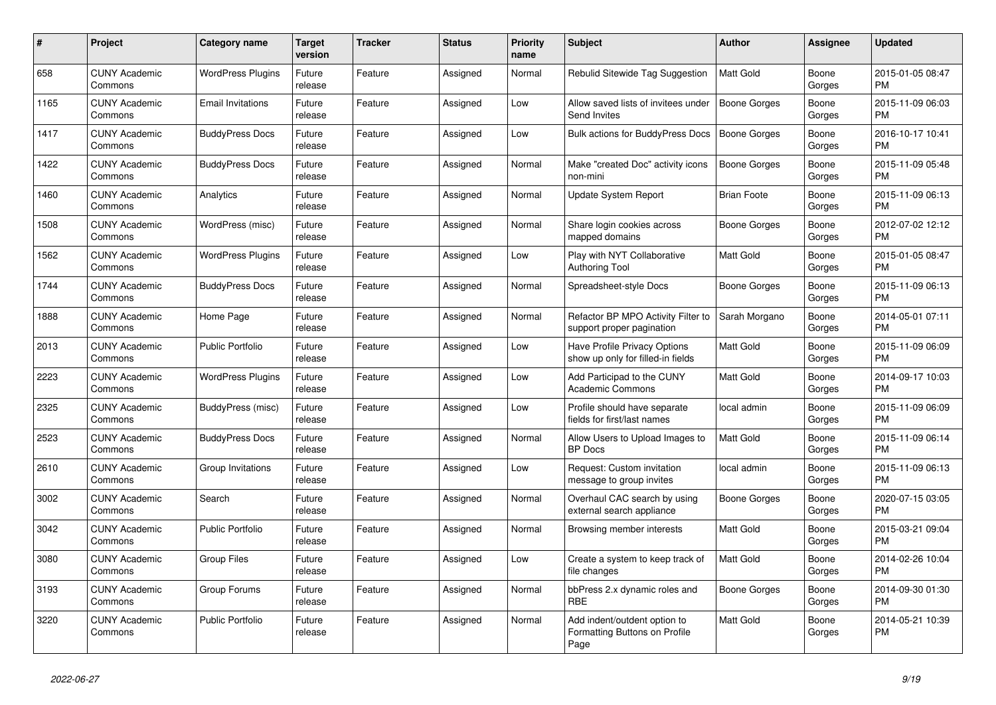| #    | Project                         | Category name            | Target<br>version | <b>Tracker</b> | <b>Status</b> | <b>Priority</b><br>name | <b>Subject</b>                                                        | <b>Author</b>      | Assignee        | <b>Updated</b>                |
|------|---------------------------------|--------------------------|-------------------|----------------|---------------|-------------------------|-----------------------------------------------------------------------|--------------------|-----------------|-------------------------------|
| 658  | <b>CUNY Academic</b><br>Commons | <b>WordPress Plugins</b> | Future<br>release | Feature        | Assigned      | Normal                  | Rebulid Sitewide Tag Suggestion                                       | <b>Matt Gold</b>   | Boone<br>Gorges | 2015-01-05 08:47<br><b>PM</b> |
| 1165 | <b>CUNY Academic</b><br>Commons | <b>Email Invitations</b> | Future<br>release | Feature        | Assigned      | Low                     | Allow saved lists of invitees under<br>Send Invites                   | Boone Gorges       | Boone<br>Gorges | 2015-11-09 06:03<br><b>PM</b> |
| 1417 | <b>CUNY Academic</b><br>Commons | <b>BuddyPress Docs</b>   | Future<br>release | Feature        | Assigned      | Low                     | Bulk actions for BuddyPress Docs                                      | Boone Gorges       | Boone<br>Gorges | 2016-10-17 10:41<br><b>PM</b> |
| 1422 | <b>CUNY Academic</b><br>Commons | <b>BuddyPress Docs</b>   | Future<br>release | Feature        | Assigned      | Normal                  | Make "created Doc" activity icons<br>non-mini                         | Boone Gorges       | Boone<br>Gorges | 2015-11-09 05:48<br><b>PM</b> |
| 1460 | <b>CUNY Academic</b><br>Commons | Analytics                | Future<br>release | Feature        | Assigned      | Normal                  | <b>Update System Report</b>                                           | <b>Brian Foote</b> | Boone<br>Gorges | 2015-11-09 06:13<br><b>PM</b> |
| 1508 | <b>CUNY Academic</b><br>Commons | WordPress (misc)         | Future<br>release | Feature        | Assigned      | Normal                  | Share login cookies across<br>mapped domains                          | Boone Gorges       | Boone<br>Gorges | 2012-07-02 12:12<br><b>PM</b> |
| 1562 | <b>CUNY Academic</b><br>Commons | <b>WordPress Plugins</b> | Future<br>release | Feature        | Assigned      | Low                     | Play with NYT Collaborative<br><b>Authoring Tool</b>                  | <b>Matt Gold</b>   | Boone<br>Gorges | 2015-01-05 08:47<br><b>PM</b> |
| 1744 | <b>CUNY Academic</b><br>Commons | <b>BuddyPress Docs</b>   | Future<br>release | Feature        | Assigned      | Normal                  | Spreadsheet-style Docs                                                | Boone Gorges       | Boone<br>Gorges | 2015-11-09 06:13<br>PM        |
| 1888 | <b>CUNY Academic</b><br>Commons | Home Page                | Future<br>release | Feature        | Assigned      | Normal                  | Refactor BP MPO Activity Filter to<br>support proper pagination       | Sarah Morgano      | Boone<br>Gorges | 2014-05-01 07:11<br><b>PM</b> |
| 2013 | <b>CUNY Academic</b><br>Commons | <b>Public Portfolio</b>  | Future<br>release | Feature        | Assigned      | Low                     | Have Profile Privacy Options<br>show up only for filled-in fields     | <b>Matt Gold</b>   | Boone<br>Gorges | 2015-11-09 06:09<br><b>PM</b> |
| 2223 | <b>CUNY Academic</b><br>Commons | <b>WordPress Plugins</b> | Future<br>release | Feature        | Assigned      | Low                     | Add Participad to the CUNY<br><b>Academic Commons</b>                 | <b>Matt Gold</b>   | Boone<br>Gorges | 2014-09-17 10:03<br><b>PM</b> |
| 2325 | <b>CUNY Academic</b><br>Commons | BuddyPress (misc)        | Future<br>release | Feature        | Assigned      | Low                     | Profile should have separate<br>fields for first/last names           | local admin        | Boone<br>Gorges | 2015-11-09 06:09<br><b>PM</b> |
| 2523 | <b>CUNY Academic</b><br>Commons | <b>BuddyPress Docs</b>   | Future<br>release | Feature        | Assigned      | Normal                  | Allow Users to Upload Images to<br><b>BP</b> Docs                     | Matt Gold          | Boone<br>Gorges | 2015-11-09 06:14<br><b>PM</b> |
| 2610 | <b>CUNY Academic</b><br>Commons | Group Invitations        | Future<br>release | Feature        | Assigned      | Low                     | Request: Custom invitation<br>message to group invites                | local admin        | Boone<br>Gorges | 2015-11-09 06:13<br><b>PM</b> |
| 3002 | <b>CUNY Academic</b><br>Commons | Search                   | Future<br>release | Feature        | Assigned      | Normal                  | Overhaul CAC search by using<br>external search appliance             | Boone Gorges       | Boone<br>Gorges | 2020-07-15 03:05<br><b>PM</b> |
| 3042 | <b>CUNY Academic</b><br>Commons | <b>Public Portfolio</b>  | Future<br>release | Feature        | Assigned      | Normal                  | Browsing member interests                                             | Matt Gold          | Boone<br>Gorges | 2015-03-21 09:04<br><b>PM</b> |
| 3080 | <b>CUNY Academic</b><br>Commons | Group Files              | Future<br>release | Feature        | Assigned      | Low                     | Create a system to keep track of<br>file changes                      | <b>Matt Gold</b>   | Boone<br>Gorges | 2014-02-26 10:04<br><b>PM</b> |
| 3193 | <b>CUNY Academic</b><br>Commons | Group Forums             | Future<br>release | Feature        | Assigned      | Normal                  | bbPress 2.x dynamic roles and<br><b>RBE</b>                           | Boone Gorges       | Boone<br>Gorges | 2014-09-30 01:30<br><b>PM</b> |
| 3220 | <b>CUNY Academic</b><br>Commons | <b>Public Portfolio</b>  | Future<br>release | Feature        | Assigned      | Normal                  | Add indent/outdent option to<br>Formatting Buttons on Profile<br>Page | <b>Matt Gold</b>   | Boone<br>Gorges | 2014-05-21 10:39<br><b>PM</b> |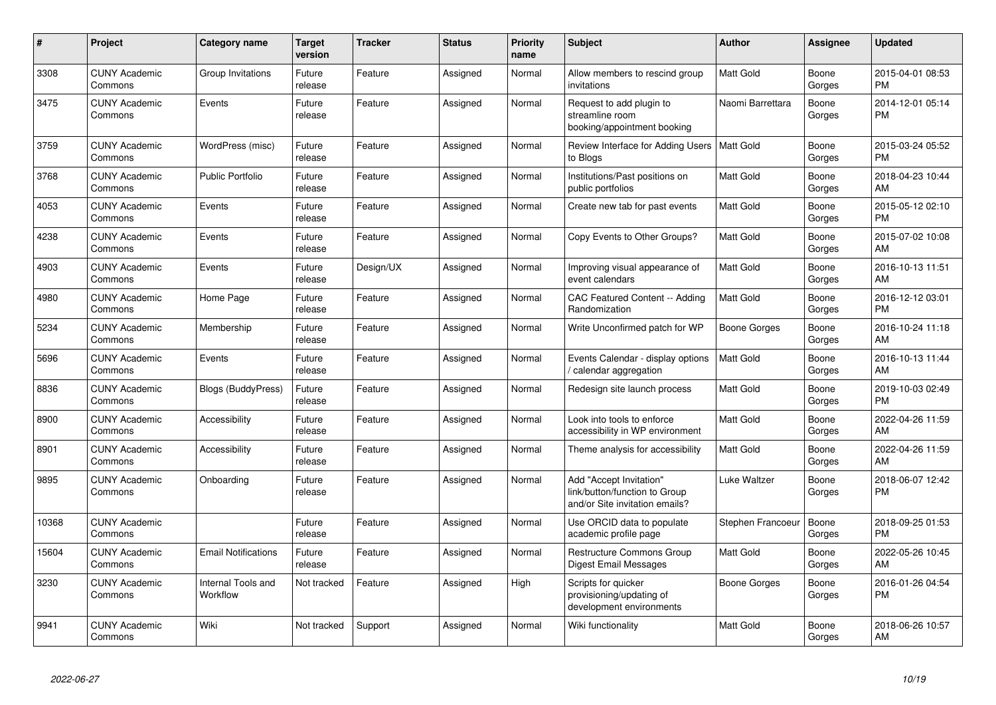| #     | Project                         | Category name                  | Target<br>version | <b>Tracker</b> | <b>Status</b> | <b>Priority</b><br>name | <b>Subject</b>                                                                             | <b>Author</b>     | Assignee        | <b>Updated</b>                |
|-------|---------------------------------|--------------------------------|-------------------|----------------|---------------|-------------------------|--------------------------------------------------------------------------------------------|-------------------|-----------------|-------------------------------|
| 3308  | <b>CUNY Academic</b><br>Commons | Group Invitations              | Future<br>release | Feature        | Assigned      | Normal                  | Allow members to rescind group<br>invitations                                              | <b>Matt Gold</b>  | Boone<br>Gorges | 2015-04-01 08:53<br><b>PM</b> |
| 3475  | <b>CUNY Academic</b><br>Commons | Events                         | Future<br>release | Feature        | Assigned      | Normal                  | Request to add plugin to<br>streamline room<br>booking/appointment booking                 | Naomi Barrettara  | Boone<br>Gorges | 2014-12-01 05:14<br><b>PM</b> |
| 3759  | <b>CUNY Academic</b><br>Commons | WordPress (misc)               | Future<br>release | Feature        | Assigned      | Normal                  | Review Interface for Adding Users   Matt Gold<br>to Blogs                                  |                   | Boone<br>Gorges | 2015-03-24 05:52<br><b>PM</b> |
| 3768  | <b>CUNY Academic</b><br>Commons | <b>Public Portfolio</b>        | Future<br>release | Feature        | Assigned      | Normal                  | Institutions/Past positions on<br>public portfolios                                        | <b>Matt Gold</b>  | Boone<br>Gorges | 2018-04-23 10:44<br>AM        |
| 4053  | <b>CUNY Academic</b><br>Commons | Events                         | Future<br>release | Feature        | Assigned      | Normal                  | Create new tab for past events                                                             | <b>Matt Gold</b>  | Boone<br>Gorges | 2015-05-12 02:10<br><b>PM</b> |
| 4238  | <b>CUNY Academic</b><br>Commons | Events                         | Future<br>release | Feature        | Assigned      | Normal                  | Copy Events to Other Groups?                                                               | <b>Matt Gold</b>  | Boone<br>Gorges | 2015-07-02 10:08<br>AM        |
| 4903  | <b>CUNY Academic</b><br>Commons | Events                         | Future<br>release | Design/UX      | Assigned      | Normal                  | Improving visual appearance of<br>event calendars                                          | <b>Matt Gold</b>  | Boone<br>Gorges | 2016-10-13 11:51<br>AM        |
| 4980  | <b>CUNY Academic</b><br>Commons | Home Page                      | Future<br>release | Feature        | Assigned      | Normal                  | CAC Featured Content -- Adding<br>Randomization                                            | Matt Gold         | Boone<br>Gorges | 2016-12-12 03:01<br><b>PM</b> |
| 5234  | <b>CUNY Academic</b><br>Commons | Membership                     | Future<br>release | Feature        | Assigned      | Normal                  | Write Unconfirmed patch for WP                                                             | Boone Gorges      | Boone<br>Gorges | 2016-10-24 11:18<br>AM        |
| 5696  | <b>CUNY Academic</b><br>Commons | Events                         | Future<br>release | Feature        | Assigned      | Normal                  | Events Calendar - display options<br>calendar aggregation                                  | <b>Matt Gold</b>  | Boone<br>Gorges | 2016-10-13 11:44<br>AM        |
| 8836  | <b>CUNY Academic</b><br>Commons | <b>Blogs (BuddyPress)</b>      | Future<br>release | Feature        | Assigned      | Normal                  | Redesign site launch process                                                               | <b>Matt Gold</b>  | Boone<br>Gorges | 2019-10-03 02:49<br><b>PM</b> |
| 8900  | <b>CUNY Academic</b><br>Commons | Accessibility                  | Future<br>release | Feature        | Assigned      | Normal                  | Look into tools to enforce<br>accessibility in WP environment                              | <b>Matt Gold</b>  | Boone<br>Gorges | 2022-04-26 11:59<br>AM        |
| 8901  | <b>CUNY Academic</b><br>Commons | Accessibility                  | Future<br>release | Feature        | Assigned      | Normal                  | Theme analysis for accessibility                                                           | <b>Matt Gold</b>  | Boone<br>Gorges | 2022-04-26 11:59<br>AM        |
| 9895  | <b>CUNY Academic</b><br>Commons | Onboarding                     | Future<br>release | Feature        | Assigned      | Normal                  | Add "Accept Invitation"<br>link/button/function to Group<br>and/or Site invitation emails? | Luke Waltzer      | Boone<br>Gorges | 2018-06-07 12:42<br>PM        |
| 10368 | <b>CUNY Academic</b><br>Commons |                                | Future<br>release | Feature        | Assigned      | Normal                  | Use ORCID data to populate<br>academic profile page                                        | Stephen Francoeur | Boone<br>Gorges | 2018-09-25 01:53<br><b>PM</b> |
| 15604 | <b>CUNY Academic</b><br>Commons | <b>Email Notifications</b>     | Future<br>release | Feature        | Assigned      | Normal                  | <b>Restructure Commons Group</b><br>Digest Email Messages                                  | <b>Matt Gold</b>  | Boone<br>Gorges | 2022-05-26 10:45<br>AM        |
| 3230  | <b>CUNY Academic</b><br>Commons | Internal Tools and<br>Workflow | Not tracked       | Feature        | Assigned      | High                    | Scripts for quicker<br>provisioning/updating of<br>development environments                | Boone Gorges      | Boone<br>Gorges | 2016-01-26 04:54<br><b>PM</b> |
| 9941  | <b>CUNY Academic</b><br>Commons | Wiki                           | Not tracked       | Support        | Assigned      | Normal                  | Wiki functionality                                                                         | Matt Gold         | Boone<br>Gorges | 2018-06-26 10:57<br>AM        |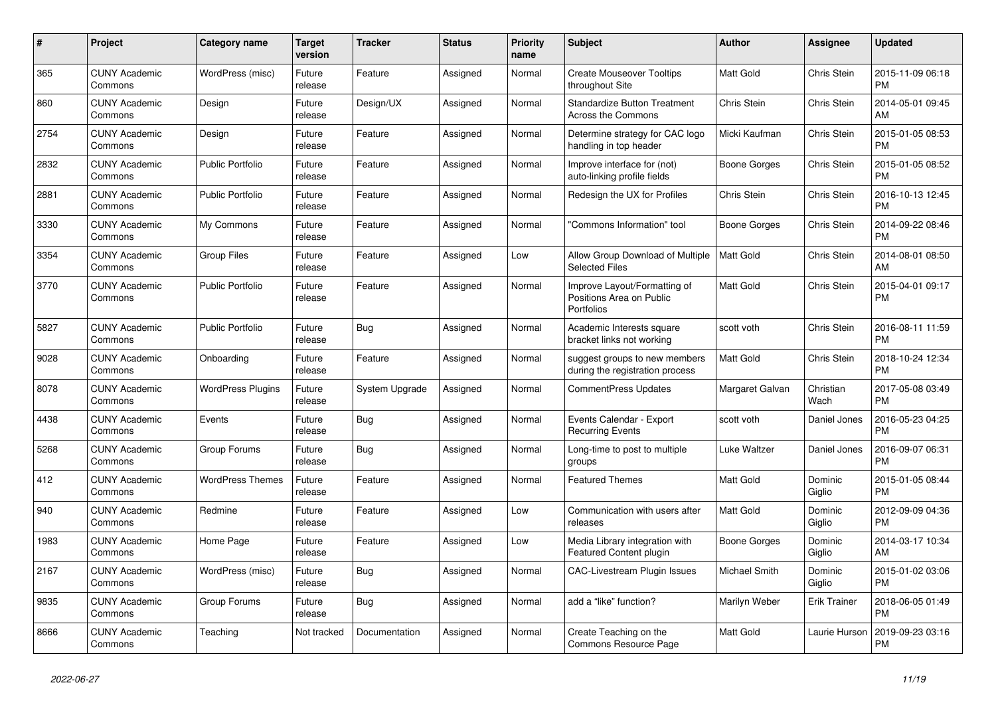| $\#$ | Project                         | Category name            | <b>Target</b><br>version | <b>Tracker</b> | <b>Status</b> | Priority<br>name | <b>Subject</b>                                                         | <b>Author</b>       | Assignee            | <b>Updated</b>                |
|------|---------------------------------|--------------------------|--------------------------|----------------|---------------|------------------|------------------------------------------------------------------------|---------------------|---------------------|-------------------------------|
| 365  | <b>CUNY Academic</b><br>Commons | WordPress (misc)         | Future<br>release        | Feature        | Assigned      | Normal           | <b>Create Mouseover Tooltips</b><br>throughout Site                    | Matt Gold           | Chris Stein         | 2015-11-09 06:18<br><b>PM</b> |
| 860  | <b>CUNY Academic</b><br>Commons | Design                   | Future<br>release        | Design/UX      | Assigned      | Normal           | <b>Standardize Button Treatment</b><br>Across the Commons              | Chris Stein         | Chris Stein         | 2014-05-01 09:45<br>AM        |
| 2754 | <b>CUNY Academic</b><br>Commons | Design                   | Future<br>release        | Feature        | Assigned      | Normal           | Determine strategy for CAC logo<br>handling in top header              | Micki Kaufman       | Chris Stein         | 2015-01-05 08:53<br>PM        |
| 2832 | <b>CUNY Academic</b><br>Commons | <b>Public Portfolio</b>  | Future<br>release        | Feature        | Assigned      | Normal           | Improve interface for (not)<br>auto-linking profile fields             | Boone Gorges        | Chris Stein         | 2015-01-05 08:52<br>PM        |
| 2881 | <b>CUNY Academic</b><br>Commons | <b>Public Portfolio</b>  | Future<br>release        | Feature        | Assigned      | Normal           | Redesign the UX for Profiles                                           | Chris Stein         | Chris Stein         | 2016-10-13 12:45<br>PМ        |
| 3330 | <b>CUNY Academic</b><br>Commons | My Commons               | Future<br>release        | Feature        | Assigned      | Normal           | "Commons Information" tool                                             | Boone Gorges        | Chris Stein         | 2014-09-22 08:46<br>PM        |
| 3354 | <b>CUNY Academic</b><br>Commons | <b>Group Files</b>       | Future<br>release        | Feature        | Assigned      | Low              | Allow Group Download of Multiple<br><b>Selected Files</b>              | <b>Matt Gold</b>    | Chris Stein         | 2014-08-01 08:50<br>AM        |
| 3770 | <b>CUNY Academic</b><br>Commons | <b>Public Portfolio</b>  | Future<br>release        | Feature        | Assigned      | Normal           | Improve Layout/Formatting of<br>Positions Area on Public<br>Portfolios | Matt Gold           | Chris Stein         | 2015-04-01 09:17<br><b>PM</b> |
| 5827 | <b>CUNY Academic</b><br>Commons | <b>Public Portfolio</b>  | Future<br>release        | Bug            | Assigned      | Normal           | Academic Interests square<br>bracket links not working                 | scott voth          | <b>Chris Stein</b>  | 2016-08-11 11:59<br>РM        |
| 9028 | <b>CUNY Academic</b><br>Commons | Onboarding               | Future<br>release        | Feature        | Assigned      | Normal           | suggest groups to new members<br>during the registration process       | Matt Gold           | Chris Stein         | 2018-10-24 12:34<br>PM        |
| 8078 | <b>CUNY Academic</b><br>Commons | <b>WordPress Plugins</b> | Future<br>release        | System Upgrade | Assigned      | Normal           | <b>CommentPress Updates</b>                                            | Margaret Galvan     | Christian<br>Wach   | 2017-05-08 03:49<br><b>PM</b> |
| 4438 | <b>CUNY Academic</b><br>Commons | Events                   | Future<br>release        | <b>Bug</b>     | Assigned      | Normal           | Events Calendar - Export<br><b>Recurring Events</b>                    | scott voth          | Daniel Jones        | 2016-05-23 04:25<br>РM        |
| 5268 | <b>CUNY Academic</b><br>Commons | Group Forums             | Future<br>release        | Bug            | Assigned      | Normal           | Long-time to post to multiple<br>groups                                | Luke Waltzer        | Daniel Jones        | 2016-09-07 06:31<br>PM        |
| 412  | <b>CUNY Academic</b><br>Commons | <b>WordPress Themes</b>  | Future<br>release        | Feature        | Assigned      | Normal           | <b>Featured Themes</b>                                                 | Matt Gold           | Dominic<br>Giglio   | 2015-01-05 08:44<br><b>PM</b> |
| 940  | <b>CUNY Academic</b><br>Commons | Redmine                  | Future<br>release        | Feature        | Assigned      | Low              | Communication with users after<br>releases                             | Matt Gold           | Dominic<br>Giglio   | 2012-09-09 04:36<br><b>PM</b> |
| 1983 | <b>CUNY Academic</b><br>Commons | Home Page                | Future<br>release        | Feature        | Assigned      | Low              | Media Library integration with<br>Featured Content plugin              | <b>Boone Gorges</b> | Dominic<br>Giglio   | 2014-03-17 10:34<br>AM        |
| 2167 | <b>CUNY Academic</b><br>Commons | WordPress (misc)         | Future<br>release        | <b>Bug</b>     | Assigned      | Normal           | <b>CAC-Livestream Plugin Issues</b>                                    | Michael Smith       | Dominic<br>Giglio   | 2015-01-02 03:06<br><b>PM</b> |
| 9835 | <b>CUNY Academic</b><br>Commons | Group Forums             | Future<br>release        | <b>Bug</b>     | Assigned      | Normal           | add a "like" function?                                                 | Marilyn Weber       | <b>Erik Trainer</b> | 2018-06-05 01:49<br><b>PM</b> |
| 8666 | <b>CUNY Academic</b><br>Commons | Teaching                 | Not tracked              | Documentation  | Assigned      | Normal           | Create Teaching on the<br>Commons Resource Page                        | Matt Gold           | Laurie Hurson       | 2019-09-23 03:16<br><b>PM</b> |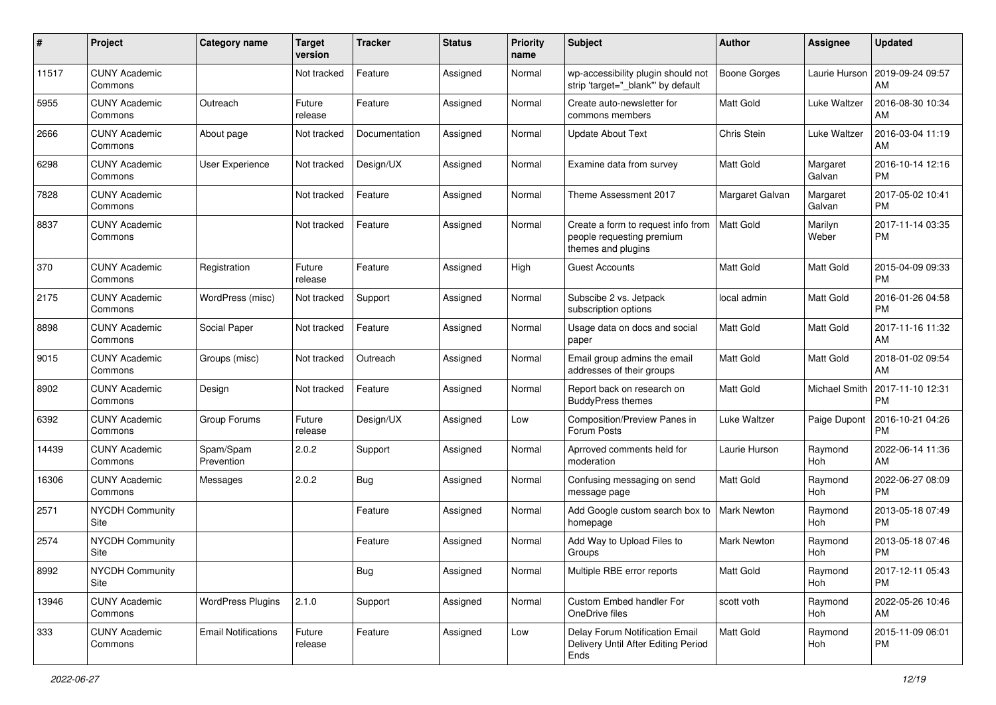| #     | Project                         | <b>Category name</b>       | <b>Target</b><br>version | <b>Tracker</b> | <b>Status</b> | <b>Priority</b><br>name | Subject                                                                               | Author              | <b>Assignee</b>    | <b>Updated</b>                |
|-------|---------------------------------|----------------------------|--------------------------|----------------|---------------|-------------------------|---------------------------------------------------------------------------------------|---------------------|--------------------|-------------------------------|
| 11517 | <b>CUNY Academic</b><br>Commons |                            | Not tracked              | Feature        | Assigned      | Normal                  | wp-accessibility plugin should not<br>strip 'target=" blank" by default               | <b>Boone Gorges</b> | Laurie Hurson      | 2019-09-24 09:57<br>AM        |
| 5955  | <b>CUNY Academic</b><br>Commons | Outreach                   | Future<br>release        | Feature        | Assigned      | Normal                  | Create auto-newsletter for<br>commons members                                         | Matt Gold           | Luke Waltzer       | 2016-08-30 10:34<br>AM        |
| 2666  | <b>CUNY Academic</b><br>Commons | About page                 | Not tracked              | Documentation  | Assigned      | Normal                  | <b>Update About Text</b>                                                              | Chris Stein         | Luke Waltzer       | 2016-03-04 11:19<br>AM        |
| 6298  | <b>CUNY Academic</b><br>Commons | User Experience            | Not tracked              | Design/UX      | Assigned      | Normal                  | Examine data from survey                                                              | <b>Matt Gold</b>    | Margaret<br>Galvan | 2016-10-14 12:16<br><b>PM</b> |
| 7828  | <b>CUNY Academic</b><br>Commons |                            | Not tracked              | Feature        | Assigned      | Normal                  | Theme Assessment 2017                                                                 | Margaret Galvan     | Margaret<br>Galvan | 2017-05-02 10:41<br><b>PM</b> |
| 8837  | <b>CUNY Academic</b><br>Commons |                            | Not tracked              | Feature        | Assigned      | Normal                  | Create a form to request info from<br>people requesting premium<br>themes and plugins | <b>Matt Gold</b>    | Marilyn<br>Weber   | 2017-11-14 03:35<br><b>PM</b> |
| 370   | <b>CUNY Academic</b><br>Commons | Registration               | Future<br>release        | Feature        | Assigned      | High                    | <b>Guest Accounts</b>                                                                 | <b>Matt Gold</b>    | <b>Matt Gold</b>   | 2015-04-09 09:33<br><b>PM</b> |
| 2175  | <b>CUNY Academic</b><br>Commons | WordPress (misc)           | Not tracked              | Support        | Assigned      | Normal                  | Subscibe 2 vs. Jetpack<br>subscription options                                        | local admin         | <b>Matt Gold</b>   | 2016-01-26 04:58<br><b>PM</b> |
| 8898  | <b>CUNY Academic</b><br>Commons | Social Paper               | Not tracked              | Feature        | Assigned      | Normal                  | Usage data on docs and social<br>paper                                                | <b>Matt Gold</b>    | Matt Gold          | 2017-11-16 11:32<br>AM        |
| 9015  | <b>CUNY Academic</b><br>Commons | Groups (misc)              | Not tracked              | Outreach       | Assigned      | Normal                  | Email group admins the email<br>addresses of their groups                             | <b>Matt Gold</b>    | Matt Gold          | 2018-01-02 09:54<br>AM        |
| 8902  | <b>CUNY Academic</b><br>Commons | Design                     | Not tracked              | Feature        | Assigned      | Normal                  | Report back on research on<br><b>BuddyPress themes</b>                                | Matt Gold           | Michael Smith      | 2017-11-10 12:31<br><b>PM</b> |
| 6392  | <b>CUNY Academic</b><br>Commons | Group Forums               | Future<br>release        | Design/UX      | Assigned      | Low                     | Composition/Preview Panes in<br>Forum Posts                                           | Luke Waltzer        | Paige Dupont       | 2016-10-21 04:26<br><b>PM</b> |
| 14439 | <b>CUNY Academic</b><br>Commons | Spam/Spam<br>Prevention    | 2.0.2                    | Support        | Assigned      | Normal                  | Aprroved comments held for<br>moderation                                              | Laurie Hurson       | Raymond<br>Hoh     | 2022-06-14 11:36<br>AM        |
| 16306 | <b>CUNY Academic</b><br>Commons | Messages                   | 2.0.2                    | <b>Bug</b>     | Assigned      | Normal                  | Confusing messaging on send<br>message page                                           | Matt Gold           | Raymond<br>Hoh     | 2022-06-27 08:09<br><b>PM</b> |
| 2571  | <b>NYCDH Community</b><br>Site  |                            |                          | Feature        | Assigned      | Normal                  | Add Google custom search box to<br>homepage                                           | <b>Mark Newton</b>  | Raymond<br>Hoh     | 2013-05-18 07:49<br><b>PM</b> |
| 2574  | <b>NYCDH Community</b><br>Site  |                            |                          | Feature        | Assigned      | Normal                  | Add Way to Upload Files to<br>Groups                                                  | Mark Newton         | Raymond<br>Hoh     | 2013-05-18 07:46<br><b>PM</b> |
| 8992  | NYCDH Community<br>Site         |                            |                          | Bug            | Assigned      | Normal                  | Multiple RBE error reports                                                            | Matt Gold           | Raymond<br>Hoh     | 2017-12-11 05:43<br>PM        |
| 13946 | <b>CUNY Academic</b><br>Commons | <b>WordPress Plugins</b>   | 2.1.0                    | Support        | Assigned      | Normal                  | Custom Embed handler For<br>OneDrive files                                            | scott voth          | Raymond<br>Hoh     | 2022-05-26 10:46<br>AM        |
| 333   | <b>CUNY Academic</b><br>Commons | <b>Email Notifications</b> | Future<br>release        | Feature        | Assigned      | Low                     | Delay Forum Notification Email<br>Delivery Until After Editing Period<br>Ends         | Matt Gold           | Raymond<br>Hoh     | 2015-11-09 06:01<br><b>PM</b> |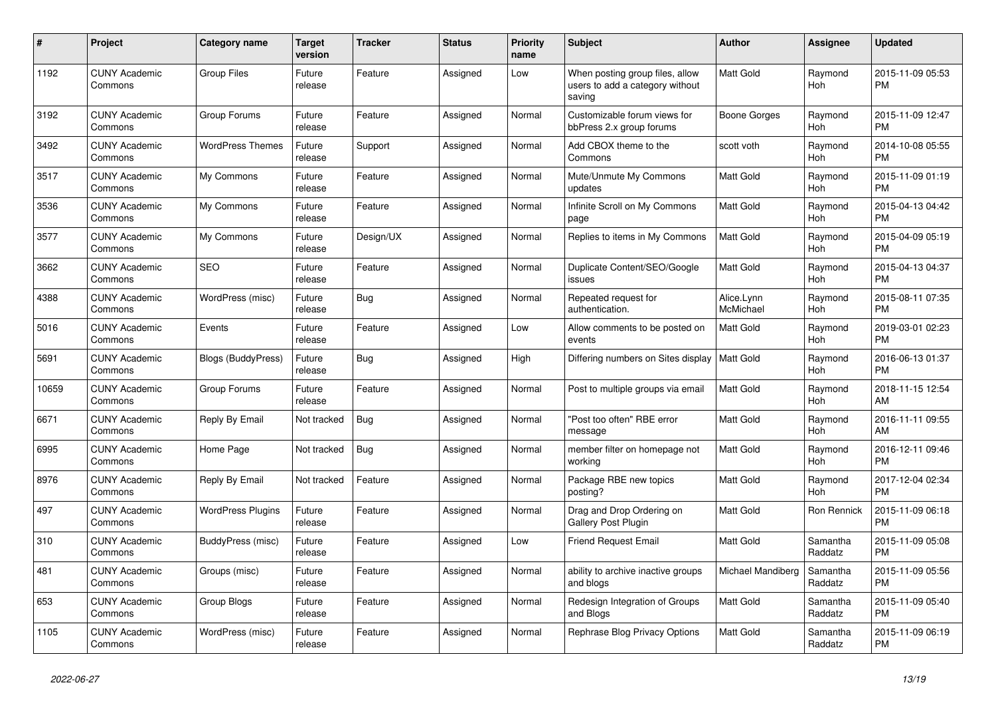| $\#$  | <b>Project</b>                  | Category name             | <b>Target</b><br>version | Tracker    | <b>Status</b> | <b>Priority</b><br>name | <b>Subject</b>                                                               | <b>Author</b>           | <b>Assignee</b>       | <b>Updated</b>                |
|-------|---------------------------------|---------------------------|--------------------------|------------|---------------|-------------------------|------------------------------------------------------------------------------|-------------------------|-----------------------|-------------------------------|
| 1192  | <b>CUNY Academic</b><br>Commons | <b>Group Files</b>        | Future<br>release        | Feature    | Assigned      | Low                     | When posting group files, allow<br>users to add a category without<br>saving | <b>Matt Gold</b>        | Raymond<br>Hoh        | 2015-11-09 05:53<br><b>PM</b> |
| 3192  | <b>CUNY Academic</b><br>Commons | Group Forums              | Future<br>release        | Feature    | Assigned      | Normal                  | Customizable forum views for<br>bbPress 2.x group forums                     | <b>Boone Gorges</b>     | Raymond<br><b>Hoh</b> | 2015-11-09 12:47<br><b>PM</b> |
| 3492  | <b>CUNY Academic</b><br>Commons | <b>WordPress Themes</b>   | Future<br>release        | Support    | Assigned      | Normal                  | Add CBOX theme to the<br>Commons                                             | scott voth              | Raymond<br><b>Hoh</b> | 2014-10-08 05:55<br><b>PM</b> |
| 3517  | <b>CUNY Academic</b><br>Commons | My Commons                | Future<br>release        | Feature    | Assigned      | Normal                  | Mute/Unmute My Commons<br>updates                                            | <b>Matt Gold</b>        | Raymond<br>Hoh        | 2015-11-09 01:19<br><b>PM</b> |
| 3536  | <b>CUNY Academic</b><br>Commons | My Commons                | Future<br>release        | Feature    | Assigned      | Normal                  | Infinite Scroll on My Commons<br>page                                        | <b>Matt Gold</b>        | Raymond<br>Hoh        | 2015-04-13 04:42<br><b>PM</b> |
| 3577  | <b>CUNY Academic</b><br>Commons | My Commons                | Future<br>release        | Design/UX  | Assigned      | Normal                  | Replies to items in My Commons                                               | <b>Matt Gold</b>        | Raymond<br><b>Hoh</b> | 2015-04-09 05:19<br><b>PM</b> |
| 3662  | <b>CUNY Academic</b><br>Commons | <b>SEO</b>                | Future<br>release        | Feature    | Assigned      | Normal                  | Duplicate Content/SEO/Google<br>issues                                       | <b>Matt Gold</b>        | Raymond<br>Hoh        | 2015-04-13 04:37<br><b>PM</b> |
| 4388  | <b>CUNY Academic</b><br>Commons | WordPress (misc)          | Future<br>release        | <b>Bug</b> | Assigned      | Normal                  | Repeated request for<br>authentication.                                      | Alice.Lynn<br>McMichael | Raymond<br>Hoh        | 2015-08-11 07:35<br><b>PM</b> |
| 5016  | <b>CUNY Academic</b><br>Commons | Events                    | Future<br>release        | Feature    | Assigned      | Low                     | Allow comments to be posted on<br>events                                     | <b>Matt Gold</b>        | Raymond<br><b>Hoh</b> | 2019-03-01 02:23<br><b>PM</b> |
| 5691  | <b>CUNY Academic</b><br>Commons | <b>Blogs (BuddyPress)</b> | Future<br>release        | <b>Bug</b> | Assigned      | High                    | Differing numbers on Sites display                                           | <b>Matt Gold</b>        | Raymond<br>Hoh        | 2016-06-13 01:37<br><b>PM</b> |
| 10659 | <b>CUNY Academic</b><br>Commons | Group Forums              | Future<br>release        | Feature    | Assigned      | Normal                  | Post to multiple groups via email                                            | Matt Gold               | Raymond<br>Hoh        | 2018-11-15 12:54<br>AM        |
| 6671  | <b>CUNY Academic</b><br>Commons | Reply By Email            | Not tracked              | Bug        | Assigned      | Normal                  | 'Post too often" RBE error<br>message                                        | <b>Matt Gold</b>        | Raymond<br>Hoh        | 2016-11-11 09:55<br>AM        |
| 6995  | <b>CUNY Academic</b><br>Commons | Home Page                 | Not tracked              | <b>Bug</b> | Assigned      | Normal                  | member filter on homepage not<br>working                                     | <b>Matt Gold</b>        | Raymond<br>Hoh        | 2016-12-11 09:46<br><b>PM</b> |
| 8976  | <b>CUNY Academic</b><br>Commons | Reply By Email            | Not tracked              | Feature    | Assigned      | Normal                  | Package RBE new topics<br>posting?                                           | <b>Matt Gold</b>        | Raymond<br>Hoh        | 2017-12-04 02:34<br><b>PM</b> |
| 497   | <b>CUNY Academic</b><br>Commons | <b>WordPress Plugins</b>  | Future<br>release        | Feature    | Assigned      | Normal                  | Drag and Drop Ordering on<br>Gallery Post Plugin                             | Matt Gold               | Ron Rennick           | 2015-11-09 06:18<br><b>PM</b> |
| 310   | <b>CUNY Academic</b><br>Commons | BuddyPress (misc)         | Future<br>release        | Feature    | Assigned      | Low                     | <b>Friend Request Email</b>                                                  | <b>Matt Gold</b>        | Samantha<br>Raddatz   | 2015-11-09 05:08<br><b>PM</b> |
| 481   | <b>CUNY Academic</b><br>Commons | Groups (misc)             | Future<br>release        | Feature    | Assigned      | Normal                  | ability to archive inactive groups<br>and blogs                              | Michael Mandiberg       | Samantha<br>Raddatz   | 2015-11-09 05:56<br><b>PM</b> |
| 653   | <b>CUNY Academic</b><br>Commons | Group Blogs               | Future<br>release        | Feature    | Assigned      | Normal                  | Redesign Integration of Groups<br>and Blogs                                  | <b>Matt Gold</b>        | Samantha<br>Raddatz   | 2015-11-09 05:40<br><b>PM</b> |
| 1105  | <b>CUNY Academic</b><br>Commons | WordPress (misc)          | Future<br>release        | Feature    | Assigned      | Normal                  | Rephrase Blog Privacy Options                                                | <b>Matt Gold</b>        | Samantha<br>Raddatz   | 2015-11-09 06:19<br><b>PM</b> |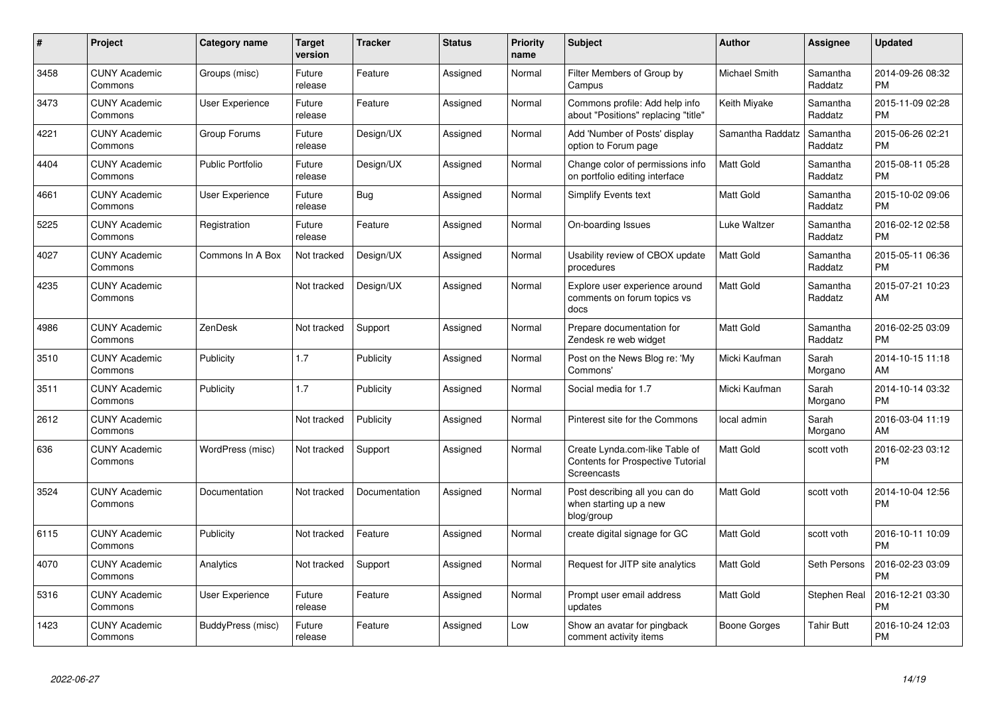| #    | Project                         | Category name           | <b>Target</b><br>version | <b>Tracker</b> | <b>Status</b> | <b>Priority</b><br>name | Subject                                                                            | <b>Author</b>        | Assignee            | <b>Updated</b>                |
|------|---------------------------------|-------------------------|--------------------------|----------------|---------------|-------------------------|------------------------------------------------------------------------------------|----------------------|---------------------|-------------------------------|
| 3458 | <b>CUNY Academic</b><br>Commons | Groups (misc)           | Future<br>release        | Feature        | Assigned      | Normal                  | Filter Members of Group by<br>Campus                                               | <b>Michael Smith</b> | Samantha<br>Raddatz | 2014-09-26 08:32<br><b>PM</b> |
| 3473 | <b>CUNY Academic</b><br>Commons | User Experience         | Future<br>release        | Feature        | Assigned      | Normal                  | Commons profile: Add help info<br>about "Positions" replacing "title"              | Keith Miyake         | Samantha<br>Raddatz | 2015-11-09 02:28<br><b>PM</b> |
| 4221 | <b>CUNY Academic</b><br>Commons | Group Forums            | Future<br>release        | Design/UX      | Assigned      | Normal                  | Add 'Number of Posts' display<br>option to Forum page                              | Samantha Raddatz     | Samantha<br>Raddatz | 2015-06-26 02:21<br><b>PM</b> |
| 4404 | <b>CUNY Academic</b><br>Commons | <b>Public Portfolio</b> | Future<br>release        | Design/UX      | Assigned      | Normal                  | Change color of permissions info<br>on portfolio editing interface                 | Matt Gold            | Samantha<br>Raddatz | 2015-08-11 05:28<br><b>PM</b> |
| 4661 | <b>CUNY Academic</b><br>Commons | <b>User Experience</b>  | Future<br>release        | Bug            | Assigned      | Normal                  | Simplify Events text                                                               | Matt Gold            | Samantha<br>Raddatz | 2015-10-02 09:06<br>PM        |
| 5225 | <b>CUNY Academic</b><br>Commons | Registration            | Future<br>release        | Feature        | Assigned      | Normal                  | On-boarding Issues                                                                 | Luke Waltzer         | Samantha<br>Raddatz | 2016-02-12 02:58<br>PМ        |
| 4027 | <b>CUNY Academic</b><br>Commons | Commons In A Box        | Not tracked              | Design/UX      | Assigned      | Normal                  | Usability review of CBOX update<br>procedures                                      | Matt Gold            | Samantha<br>Raddatz | 2015-05-11 06:36<br><b>PM</b> |
| 4235 | <b>CUNY Academic</b><br>Commons |                         | Not tracked              | Design/UX      | Assigned      | Normal                  | Explore user experience around<br>comments on forum topics vs<br>docs              | Matt Gold            | Samantha<br>Raddatz | 2015-07-21 10:23<br>AM        |
| 4986 | <b>CUNY Academic</b><br>Commons | ZenDesk                 | Not tracked              | Support        | Assigned      | Normal                  | Prepare documentation for<br>Zendesk re web widget                                 | Matt Gold            | Samantha<br>Raddatz | 2016-02-25 03:09<br><b>PM</b> |
| 3510 | <b>CUNY Academic</b><br>Commons | Publicity               | 1.7                      | Publicity      | Assigned      | Normal                  | Post on the News Blog re: 'My<br>Commons'                                          | Micki Kaufman        | Sarah<br>Morgano    | 2014-10-15 11:18<br>AM        |
| 3511 | <b>CUNY Academic</b><br>Commons | Publicity               | 1.7                      | Publicity      | Assigned      | Normal                  | Social media for 1.7                                                               | Micki Kaufman        | Sarah<br>Morgano    | 2014-10-14 03:32<br><b>PM</b> |
| 2612 | <b>CUNY Academic</b><br>Commons |                         | Not tracked              | Publicity      | Assigned      | Normal                  | Pinterest site for the Commons                                                     | local admin          | Sarah<br>Morgano    | 2016-03-04 11:19<br>AM        |
| 636  | <b>CUNY Academic</b><br>Commons | WordPress (misc)        | Not tracked              | Support        | Assigned      | Normal                  | Create Lynda.com-like Table of<br>Contents for Prospective Tutorial<br>Screencasts | Matt Gold            | scott voth          | 2016-02-23 03:12<br><b>PM</b> |
| 3524 | <b>CUNY Academic</b><br>Commons | Documentation           | Not tracked              | Documentation  | Assigned      | Normal                  | Post describing all you can do<br>when starting up a new<br>blog/group             | Matt Gold            | scott voth          | 2014-10-04 12:56<br><b>PM</b> |
| 6115 | <b>CUNY Academic</b><br>Commons | Publicity               | Not tracked              | Feature        | Assigned      | Normal                  | create digital signage for GC                                                      | Matt Gold            | scott voth          | 2016-10-11 10:09<br><b>PM</b> |
| 4070 | <b>CUNY Academic</b><br>Commons | Analytics               | Not tracked              | Support        | Assigned      | Normal                  | Request for JITP site analytics                                                    | Matt Gold            | Seth Persons        | 2016-02-23 03:09<br><b>PM</b> |
| 5316 | <b>CUNY Academic</b><br>Commons | <b>User Experience</b>  | Future<br>release        | Feature        | Assigned      | Normal                  | Prompt user email address<br>updates                                               | Matt Gold            | Stephen Real        | 2016-12-21 03:30<br>PM        |
| 1423 | <b>CUNY Academic</b><br>Commons | BuddyPress (misc)       | Future<br>release        | Feature        | Assigned      | Low                     | Show an avatar for pingback<br>comment activity items                              | Boone Gorges         | <b>Tahir Butt</b>   | 2016-10-24 12:03<br><b>PM</b> |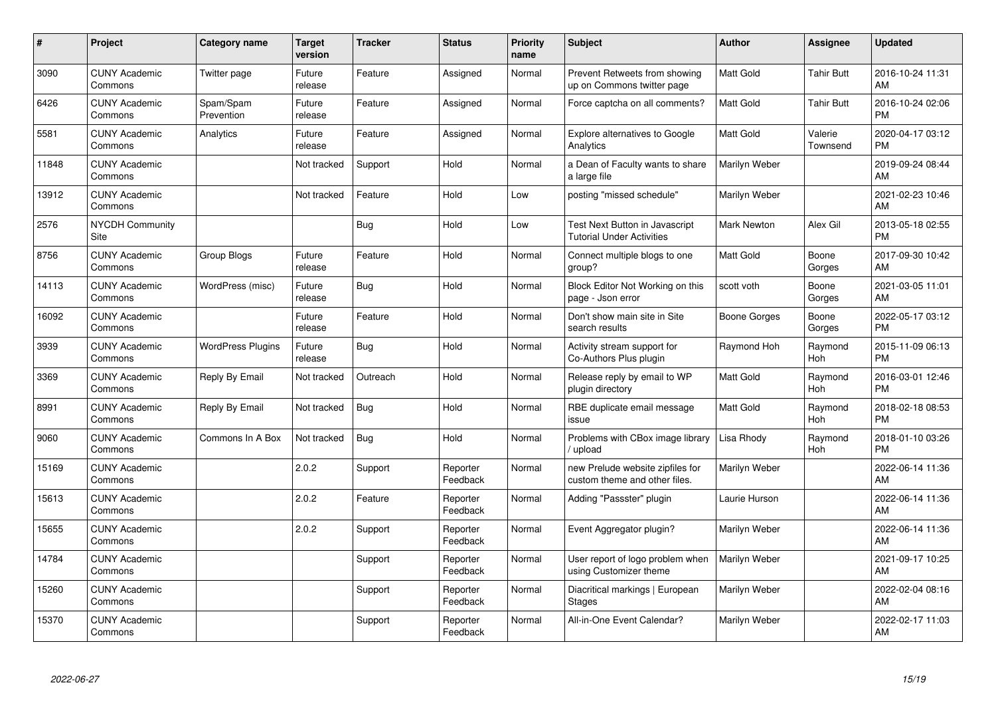| #     | <b>Project</b>                  | Category name            | <b>Target</b><br>version | <b>Tracker</b> | <b>Status</b>        | <b>Priority</b><br>name | Subject                                                            | <b>Author</b>       | <b>Assignee</b>       | <b>Updated</b>                |
|-------|---------------------------------|--------------------------|--------------------------|----------------|----------------------|-------------------------|--------------------------------------------------------------------|---------------------|-----------------------|-------------------------------|
| 3090  | <b>CUNY Academic</b><br>Commons | Twitter page             | Future<br>release        | Feature        | Assigned             | Normal                  | Prevent Retweets from showing<br>up on Commons twitter page        | <b>Matt Gold</b>    | <b>Tahir Butt</b>     | 2016-10-24 11:31<br>AM        |
| 6426  | <b>CUNY Academic</b><br>Commons | Spam/Spam<br>Prevention  | Future<br>release        | Feature        | Assigned             | Normal                  | Force captcha on all comments?                                     | <b>Matt Gold</b>    | <b>Tahir Butt</b>     | 2016-10-24 02:06<br><b>PM</b> |
| 5581  | <b>CUNY Academic</b><br>Commons | Analytics                | Future<br>release        | Feature        | Assigned             | Normal                  | <b>Explore alternatives to Google</b><br>Analytics                 | Matt Gold           | Valerie<br>Townsend   | 2020-04-17 03:12<br><b>PM</b> |
| 11848 | <b>CUNY Academic</b><br>Commons |                          | Not tracked              | Support        | Hold                 | Normal                  | a Dean of Faculty wants to share<br>a large file                   | Marilyn Weber       |                       | 2019-09-24 08:44<br>AM        |
| 13912 | <b>CUNY Academic</b><br>Commons |                          | Not tracked              | Feature        | Hold                 | Low                     | posting "missed schedule"                                          | Marilyn Weber       |                       | 2021-02-23 10:46<br>AM        |
| 2576  | <b>NYCDH Community</b><br>Site  |                          |                          | Bug            | Hold                 | Low                     | Test Next Button in Javascript<br><b>Tutorial Under Activities</b> | Mark Newton         | Alex Gil              | 2013-05-18 02:55<br><b>PM</b> |
| 8756  | <b>CUNY Academic</b><br>Commons | <b>Group Blogs</b>       | Future<br>release        | Feature        | Hold                 | Normal                  | Connect multiple blogs to one<br>group?                            | Matt Gold           | Boone<br>Gorges       | 2017-09-30 10:42<br>AM        |
| 14113 | <b>CUNY Academic</b><br>Commons | WordPress (misc)         | Future<br>release        | Bug            | Hold                 | Normal                  | Block Editor Not Working on this<br>page - Json error              | scott voth          | Boone<br>Gorges       | 2021-03-05 11:01<br>AM        |
| 16092 | <b>CUNY Academic</b><br>Commons |                          | Future<br>release        | Feature        | Hold                 | Normal                  | Don't show main site in Site<br>search results                     | <b>Boone Gorges</b> | Boone<br>Gorges       | 2022-05-17 03:12<br><b>PM</b> |
| 3939  | <b>CUNY Academic</b><br>Commons | <b>WordPress Plugins</b> | Future<br>release        | Bug            | Hold                 | Normal                  | Activity stream support for<br>Co-Authors Plus plugin              | Raymond Hoh         | Raymond<br>Hoh        | 2015-11-09 06:13<br><b>PM</b> |
| 3369  | <b>CUNY Academic</b><br>Commons | Reply By Email           | Not tracked              | Outreach       | Hold                 | Normal                  | Release reply by email to WP<br>plugin directory                   | Matt Gold           | Raymond<br><b>Hoh</b> | 2016-03-01 12:46<br><b>PM</b> |
| 8991  | <b>CUNY Academic</b><br>Commons | Reply By Email           | Not tracked              | <b>Bug</b>     | Hold                 | Normal                  | RBE duplicate email message<br>issue                               | Matt Gold           | Raymond<br>Hoh        | 2018-02-18 08:53<br><b>PM</b> |
| 9060  | <b>CUNY Academic</b><br>Commons | Commons In A Box         | Not tracked              | <b>Bug</b>     | Hold                 | Normal                  | Problems with CBox image library<br>upload                         | Lisa Rhody          | Raymond<br>Hoh        | 2018-01-10 03:26<br><b>PM</b> |
| 15169 | <b>CUNY Academic</b><br>Commons |                          | 2.0.2                    | Support        | Reporter<br>Feedback | Normal                  | new Prelude website zipfiles for<br>custom theme and other files.  | Marilyn Weber       |                       | 2022-06-14 11:36<br>AM        |
| 15613 | <b>CUNY Academic</b><br>Commons |                          | 2.0.2                    | Feature        | Reporter<br>Feedback | Normal                  | Adding "Passster" plugin                                           | Laurie Hurson       |                       | 2022-06-14 11:36<br>AM        |
| 15655 | <b>CUNY Academic</b><br>Commons |                          | 2.0.2                    | Support        | Reporter<br>Feedback | Normal                  | Event Aggregator plugin?                                           | Marilyn Weber       |                       | 2022-06-14 11:36<br>AM        |
| 14784 | <b>CUNY Academic</b><br>Commons |                          |                          | Support        | Reporter<br>Feedback | Normal                  | User report of logo problem when<br>using Customizer theme         | Marilyn Weber       |                       | 2021-09-17 10:25<br>AM        |
| 15260 | <b>CUNY Academic</b><br>Commons |                          |                          | Support        | Reporter<br>Feedback | Normal                  | Diacritical markings   European<br>Stages                          | Marilyn Weber       |                       | 2022-02-04 08:16<br>AM        |
| 15370 | <b>CUNY Academic</b><br>Commons |                          |                          | Support        | Reporter<br>Feedback | Normal                  | All-in-One Event Calendar?                                         | Marilyn Weber       |                       | 2022-02-17 11:03<br>AM        |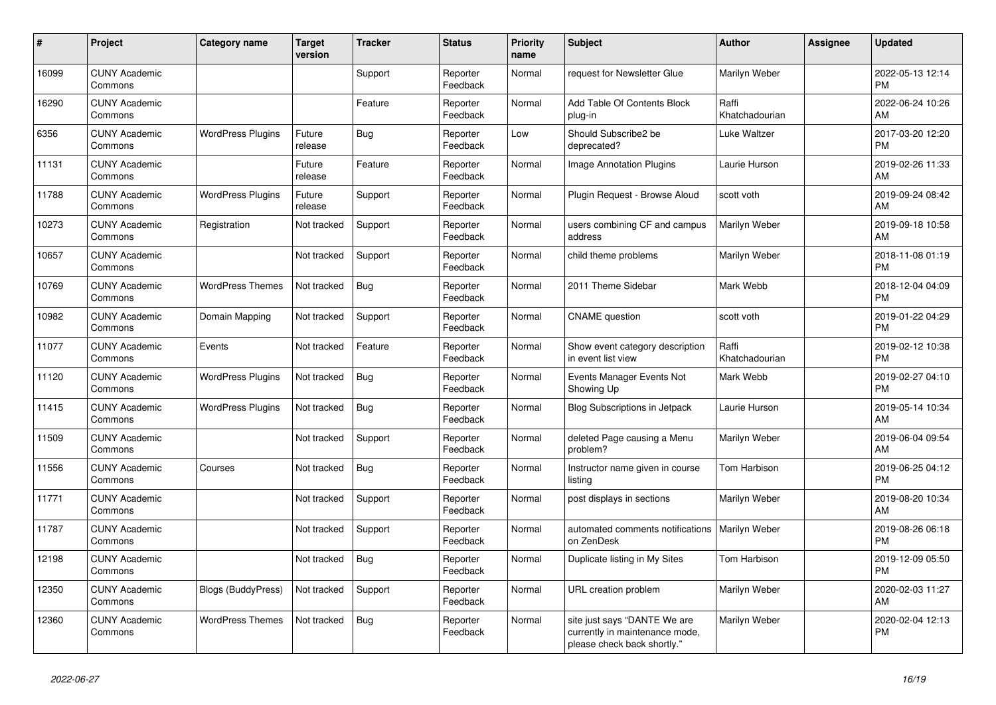| #     | Project                         | <b>Category name</b>      | Target<br>version | <b>Tracker</b> | <b>Status</b>        | <b>Priority</b><br>name | <b>Subject</b>                                                                                | <b>Author</b>           | <b>Assignee</b> | <b>Updated</b>                |
|-------|---------------------------------|---------------------------|-------------------|----------------|----------------------|-------------------------|-----------------------------------------------------------------------------------------------|-------------------------|-----------------|-------------------------------|
| 16099 | <b>CUNY Academic</b><br>Commons |                           |                   | Support        | Reporter<br>Feedback | Normal                  | request for Newsletter Glue                                                                   | Marilyn Weber           |                 | 2022-05-13 12:14<br><b>PM</b> |
| 16290 | <b>CUNY Academic</b><br>Commons |                           |                   | Feature        | Reporter<br>Feedback | Normal                  | Add Table Of Contents Block<br>plug-in                                                        | Raffi<br>Khatchadourian |                 | 2022-06-24 10:26<br>AM        |
| 6356  | <b>CUNY Academic</b><br>Commons | <b>WordPress Plugins</b>  | Future<br>release | <b>Bug</b>     | Reporter<br>Feedback | Low                     | Should Subscribe2 be<br>deprecated?                                                           | Luke Waltzer            |                 | 2017-03-20 12:20<br><b>PM</b> |
| 11131 | <b>CUNY Academic</b><br>Commons |                           | Future<br>release | Feature        | Reporter<br>Feedback | Normal                  | <b>Image Annotation Plugins</b>                                                               | Laurie Hurson           |                 | 2019-02-26 11:33<br>AM        |
| 11788 | <b>CUNY Academic</b><br>Commons | <b>WordPress Plugins</b>  | Future<br>release | Support        | Reporter<br>Feedback | Normal                  | Plugin Request - Browse Aloud                                                                 | scott voth              |                 | 2019-09-24 08:42<br>AM        |
| 10273 | <b>CUNY Academic</b><br>Commons | Registration              | Not tracked       | Support        | Reporter<br>Feedback | Normal                  | users combining CF and campus<br>address                                                      | Marilyn Weber           |                 | 2019-09-18 10:58<br>AM        |
| 10657 | <b>CUNY Academic</b><br>Commons |                           | Not tracked       | Support        | Reporter<br>Feedback | Normal                  | child theme problems                                                                          | Marilyn Weber           |                 | 2018-11-08 01:19<br><b>PM</b> |
| 10769 | <b>CUNY Academic</b><br>Commons | <b>WordPress Themes</b>   | Not tracked       | Bug            | Reporter<br>Feedback | Normal                  | 2011 Theme Sidebar                                                                            | Mark Webb               |                 | 2018-12-04 04:09<br><b>PM</b> |
| 10982 | <b>CUNY Academic</b><br>Commons | Domain Mapping            | Not tracked       | Support        | Reporter<br>Feedback | Normal                  | <b>CNAME</b> question                                                                         | scott voth              |                 | 2019-01-22 04:29<br><b>PM</b> |
| 11077 | <b>CUNY Academic</b><br>Commons | Events                    | Not tracked       | Feature        | Reporter<br>Feedback | Normal                  | Show event category description<br>in event list view                                         | Raffi<br>Khatchadourian |                 | 2019-02-12 10:38<br><b>PM</b> |
| 11120 | <b>CUNY Academic</b><br>Commons | <b>WordPress Plugins</b>  | Not tracked       | Bug            | Reporter<br>Feedback | Normal                  | Events Manager Events Not<br>Showing Up                                                       | Mark Webb               |                 | 2019-02-27 04:10<br><b>PM</b> |
| 11415 | <b>CUNY Academic</b><br>Commons | <b>WordPress Plugins</b>  | Not tracked       | <b>Bug</b>     | Reporter<br>Feedback | Normal                  | Blog Subscriptions in Jetpack                                                                 | Laurie Hurson           |                 | 2019-05-14 10:34<br>AM        |
| 11509 | <b>CUNY Academic</b><br>Commons |                           | Not tracked       | Support        | Reporter<br>Feedback | Normal                  | deleted Page causing a Menu<br>problem?                                                       | Marilyn Weber           |                 | 2019-06-04 09:54<br>AM        |
| 11556 | <b>CUNY Academic</b><br>Commons | Courses                   | Not tracked       | <b>Bug</b>     | Reporter<br>Feedback | Normal                  | Instructor name given in course<br>listing                                                    | Tom Harbison            |                 | 2019-06-25 04:12<br><b>PM</b> |
| 11771 | <b>CUNY Academic</b><br>Commons |                           | Not tracked       | Support        | Reporter<br>Feedback | Normal                  | post displays in sections                                                                     | Marilyn Weber           |                 | 2019-08-20 10:34<br>AM        |
| 11787 | <b>CUNY Academic</b><br>Commons |                           | Not tracked       | Support        | Reporter<br>Feedback | Normal                  | automated comments notifications<br>on ZenDesk                                                | Marilyn Weber           |                 | 2019-08-26 06:18<br><b>PM</b> |
| 12198 | <b>CUNY Academic</b><br>Commons |                           | Not tracked       | <b>Bug</b>     | Reporter<br>Feedback | Normal                  | Duplicate listing in My Sites                                                                 | Tom Harbison            |                 | 2019-12-09 05:50<br><b>PM</b> |
| 12350 | <b>CUNY Academic</b><br>Commons | <b>Blogs (BuddyPress)</b> | Not tracked       | Support        | Reporter<br>Feedback | Normal                  | URL creation problem                                                                          | Marilyn Weber           |                 | 2020-02-03 11:27<br>AM        |
| 12360 | <b>CUNY Academic</b><br>Commons | <b>WordPress Themes</b>   | Not tracked       | Bug            | Reporter<br>Feedback | Normal                  | site just says "DANTE We are<br>currently in maintenance mode,<br>please check back shortly." | Marilyn Weber           |                 | 2020-02-04 12:13<br><b>PM</b> |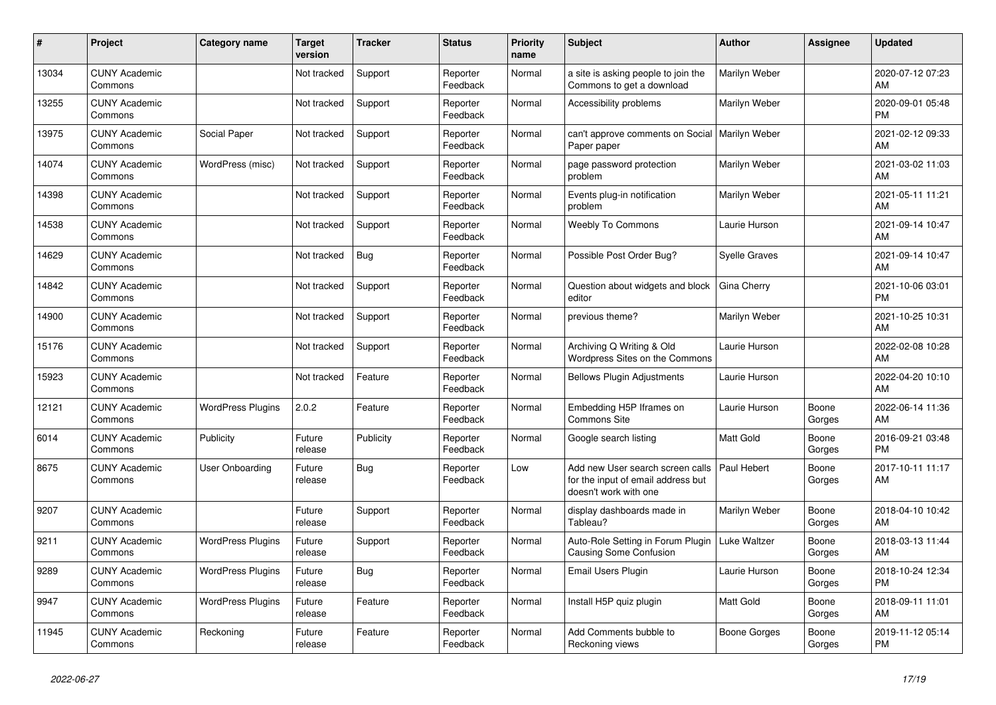| #     | <b>Project</b>                  | Category name            | <b>Target</b><br>version | <b>Tracker</b> | <b>Status</b>        | <b>Priority</b><br>name | <b>Subject</b>                                                                                  | <b>Author</b>        | Assignee        | <b>Updated</b>                |
|-------|---------------------------------|--------------------------|--------------------------|----------------|----------------------|-------------------------|-------------------------------------------------------------------------------------------------|----------------------|-----------------|-------------------------------|
| 13034 | <b>CUNY Academic</b><br>Commons |                          | Not tracked              | Support        | Reporter<br>Feedback | Normal                  | a site is asking people to join the<br>Commons to get a download                                | Marilyn Weber        |                 | 2020-07-12 07:23<br>AM        |
| 13255 | <b>CUNY Academic</b><br>Commons |                          | Not tracked              | Support        | Reporter<br>Feedback | Normal                  | Accessibility problems                                                                          | Marilyn Weber        |                 | 2020-09-01 05:48<br><b>PM</b> |
| 13975 | <b>CUNY Academic</b><br>Commons | Social Paper             | Not tracked              | Support        | Reporter<br>Feedback | Normal                  | can't approve comments on Social<br>Paper paper                                                 | Marilyn Weber        |                 | 2021-02-12 09:33<br>AM        |
| 14074 | <b>CUNY Academic</b><br>Commons | WordPress (misc)         | Not tracked              | Support        | Reporter<br>Feedback | Normal                  | page password protection<br>problem                                                             | Marilyn Weber        |                 | 2021-03-02 11:03<br>AM        |
| 14398 | <b>CUNY Academic</b><br>Commons |                          | Not tracked              | Support        | Reporter<br>Feedback | Normal                  | Events plug-in notification<br>problem                                                          | Marilyn Weber        |                 | 2021-05-11 11:21<br>AM        |
| 14538 | <b>CUNY Academic</b><br>Commons |                          | Not tracked              | Support        | Reporter<br>Feedback | Normal                  | <b>Weebly To Commons</b>                                                                        | Laurie Hurson        |                 | 2021-09-14 10:47<br>AM        |
| 14629 | <b>CUNY Academic</b><br>Commons |                          | Not tracked              | Bug            | Reporter<br>Feedback | Normal                  | Possible Post Order Bug?                                                                        | <b>Syelle Graves</b> |                 | 2021-09-14 10:47<br>AM        |
| 14842 | <b>CUNY Academic</b><br>Commons |                          | Not tracked              | Support        | Reporter<br>Feedback | Normal                  | Question about widgets and block<br>editor                                                      | Gina Cherry          |                 | 2021-10-06 03:01<br><b>PM</b> |
| 14900 | <b>CUNY Academic</b><br>Commons |                          | Not tracked              | Support        | Reporter<br>Feedback | Normal                  | previous theme?                                                                                 | Marilyn Weber        |                 | 2021-10-25 10:31<br>AM        |
| 15176 | <b>CUNY Academic</b><br>Commons |                          | Not tracked              | Support        | Reporter<br>Feedback | Normal                  | Archiving Q Writing & Old<br>Wordpress Sites on the Commons                                     | Laurie Hurson        |                 | 2022-02-08 10:28<br>AM        |
| 15923 | <b>CUNY Academic</b><br>Commons |                          | Not tracked              | Feature        | Reporter<br>Feedback | Normal                  | <b>Bellows Plugin Adjustments</b>                                                               | Laurie Hurson        |                 | 2022-04-20 10:10<br>AM        |
| 12121 | <b>CUNY Academic</b><br>Commons | <b>WordPress Plugins</b> | 2.0.2                    | Feature        | Reporter<br>Feedback | Normal                  | Embedding H5P Iframes on<br><b>Commons Site</b>                                                 | Laurie Hurson        | Boone<br>Gorges | 2022-06-14 11:36<br>AM        |
| 6014  | <b>CUNY Academic</b><br>Commons | Publicity                | Future<br>release        | Publicity      | Reporter<br>Feedback | Normal                  | Google search listing                                                                           | <b>Matt Gold</b>     | Boone<br>Gorges | 2016-09-21 03:48<br><b>PM</b> |
| 8675  | <b>CUNY Academic</b><br>Commons | User Onboarding          | Future<br>release        | Bug            | Reporter<br>Feedback | Low                     | Add new User search screen calls<br>for the input of email address but<br>doesn't work with one | Paul Hebert          | Boone<br>Gorges | 2017-10-11 11:17<br>AM        |
| 9207  | <b>CUNY Academic</b><br>Commons |                          | Future<br>release        | Support        | Reporter<br>Feedback | Normal                  | display dashboards made in<br>Tableau?                                                          | Marilyn Weber        | Boone<br>Gorges | 2018-04-10 10:42<br>AM        |
| 9211  | <b>CUNY Academic</b><br>Commons | <b>WordPress Plugins</b> | Future<br>release        | Support        | Reporter<br>Feedback | Normal                  | Auto-Role Setting in Forum Plugin<br><b>Causing Some Confusion</b>                              | Luke Waltzer         | Boone<br>Gorges | 2018-03-13 11:44<br>AM        |
| 9289  | <b>CUNY Academic</b><br>Commons | <b>WordPress Plugins</b> | Future<br>release        | Bug            | Reporter<br>Feedback | Normal                  | <b>Email Users Plugin</b>                                                                       | Laurie Hurson        | Boone<br>Gorges | 2018-10-24 12:34<br><b>PM</b> |
| 9947  | <b>CUNY Academic</b><br>Commons | <b>WordPress Plugins</b> | Future<br>release        | Feature        | Reporter<br>Feedback | Normal                  | Install H5P quiz plugin                                                                         | Matt Gold            | Boone<br>Gorges | 2018-09-11 11:01<br>AM        |
| 11945 | <b>CUNY Academic</b><br>Commons | Reckoning                | Future<br>release        | Feature        | Reporter<br>Feedback | Normal                  | Add Comments bubble to<br>Reckoning views                                                       | <b>Boone Gorges</b>  | Boone<br>Gorges | 2019-11-12 05:14<br><b>PM</b> |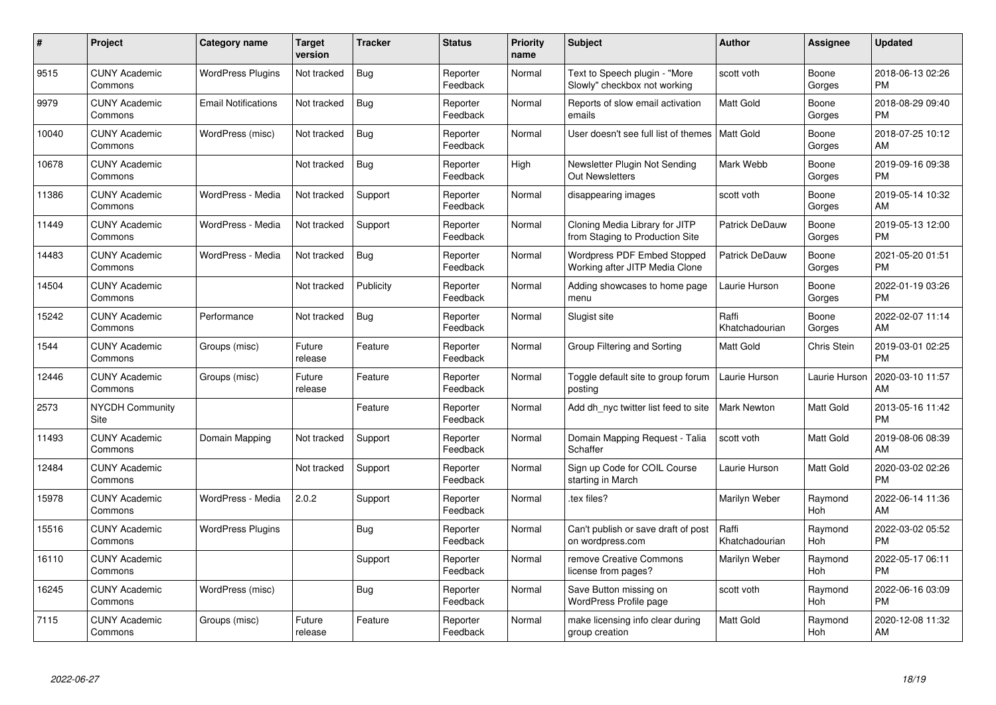| #     | Project                         | Category name              | <b>Target</b><br>version | <b>Tracker</b> | <b>Status</b>        | <b>Priority</b><br>name | <b>Subject</b>                                                    | <b>Author</b>           | Assignee              | <b>Updated</b>                |
|-------|---------------------------------|----------------------------|--------------------------|----------------|----------------------|-------------------------|-------------------------------------------------------------------|-------------------------|-----------------------|-------------------------------|
| 9515  | <b>CUNY Academic</b><br>Commons | <b>WordPress Plugins</b>   | Not tracked              | <b>Bug</b>     | Reporter<br>Feedback | Normal                  | Text to Speech plugin - "More<br>Slowly" checkbox not working     | scott voth              | Boone<br>Gorges       | 2018-06-13 02:26<br><b>PM</b> |
| 9979  | <b>CUNY Academic</b><br>Commons | <b>Email Notifications</b> | Not tracked              | Bug            | Reporter<br>Feedback | Normal                  | Reports of slow email activation<br>emails                        | <b>Matt Gold</b>        | Boone<br>Gorges       | 2018-08-29 09:40<br><b>PM</b> |
| 10040 | <b>CUNY Academic</b><br>Commons | WordPress (misc)           | Not tracked              | Bug            | Reporter<br>Feedback | Normal                  | User doesn't see full list of themes                              | <b>Matt Gold</b>        | Boone<br>Gorges       | 2018-07-25 10:12<br>AM        |
| 10678 | <b>CUNY Academic</b><br>Commons |                            | Not tracked              | <b>Bug</b>     | Reporter<br>Feedback | High                    | Newsletter Plugin Not Sending<br><b>Out Newsletters</b>           | Mark Webb               | Boone<br>Gorges       | 2019-09-16 09:38<br><b>PM</b> |
| 11386 | <b>CUNY Academic</b><br>Commons | WordPress - Media          | Not tracked              | Support        | Reporter<br>Feedback | Normal                  | disappearing images                                               | scott voth              | Boone<br>Gorges       | 2019-05-14 10:32<br>AM        |
| 11449 | <b>CUNY Academic</b><br>Commons | WordPress - Media          | Not tracked              | Support        | Reporter<br>Feedback | Normal                  | Cloning Media Library for JITP<br>from Staging to Production Site | <b>Patrick DeDauw</b>   | Boone<br>Gorges       | 2019-05-13 12:00<br><b>PM</b> |
| 14483 | <b>CUNY Academic</b><br>Commons | WordPress - Media          | Not tracked              | Bug            | Reporter<br>Feedback | Normal                  | Wordpress PDF Embed Stopped<br>Working after JITP Media Clone     | Patrick DeDauw          | Boone<br>Gorges       | 2021-05-20 01:51<br><b>PM</b> |
| 14504 | <b>CUNY Academic</b><br>Commons |                            | Not tracked              | Publicity      | Reporter<br>Feedback | Normal                  | Adding showcases to home page<br>menu                             | Laurie Hurson           | Boone<br>Gorges       | 2022-01-19 03:26<br><b>PM</b> |
| 15242 | <b>CUNY Academic</b><br>Commons | Performance                | Not tracked              | Bug            | Reporter<br>Feedback | Normal                  | Slugist site                                                      | Raffi<br>Khatchadourian | Boone<br>Gorges       | 2022-02-07 11:14<br>AM        |
| 1544  | <b>CUNY Academic</b><br>Commons | Groups (misc)              | Future<br>release        | Feature        | Reporter<br>Feedback | Normal                  | Group Filtering and Sorting                                       | <b>Matt Gold</b>        | Chris Stein           | 2019-03-01 02:25<br><b>PM</b> |
| 12446 | <b>CUNY Academic</b><br>Commons | Groups (misc)              | Future<br>release        | Feature        | Reporter<br>Feedback | Normal                  | Toggle default site to group forum<br>posting                     | Laurie Hurson           | Laurie Hurson         | 2020-03-10 11:57<br>AM        |
| 2573  | <b>NYCDH Community</b><br>Site  |                            |                          | Feature        | Reporter<br>Feedback | Normal                  | Add dh nyc twitter list feed to site                              | <b>Mark Newton</b>      | Matt Gold             | 2013-05-16 11:42<br><b>PM</b> |
| 11493 | <b>CUNY Academic</b><br>Commons | Domain Mapping             | Not tracked              | Support        | Reporter<br>Feedback | Normal                  | Domain Mapping Request - Talia<br>Schaffer                        | scott voth              | Matt Gold             | 2019-08-06 08:39<br>AM        |
| 12484 | <b>CUNY Academic</b><br>Commons |                            | Not tracked              | Support        | Reporter<br>Feedback | Normal                  | Sign up Code for COIL Course<br>starting in March                 | Laurie Hurson           | <b>Matt Gold</b>      | 2020-03-02 02:26<br><b>PM</b> |
| 15978 | <b>CUNY Academic</b><br>Commons | WordPress - Media          | 2.0.2                    | Support        | Reporter<br>Feedback | Normal                  | tex files?                                                        | Marilyn Weber           | Raymond<br>Hoh        | 2022-06-14 11:36<br>AM        |
| 15516 | <b>CUNY Academic</b><br>Commons | <b>WordPress Plugins</b>   |                          | <b>Bug</b>     | Reporter<br>Feedback | Normal                  | Can't publish or save draft of post<br>on wordpress.com           | Raffi<br>Khatchadourian | Raymond<br>Hoh        | 2022-03-02 05:52<br><b>PM</b> |
| 16110 | <b>CUNY Academic</b><br>Commons |                            |                          | Support        | Reporter<br>Feedback | Normal                  | remove Creative Commons<br>license from pages?                    | Marilyn Weber           | Raymond<br><b>Hoh</b> | 2022-05-17 06:11<br><b>PM</b> |
| 16245 | <b>CUNY Academic</b><br>Commons | WordPress (misc)           |                          | Bug            | Reporter<br>Feedback | Normal                  | Save Button missing on<br>WordPress Profile page                  | scott voth              | Raymond<br>Hoh        | 2022-06-16 03:09<br><b>PM</b> |
| 7115  | <b>CUNY Academic</b><br>Commons | Groups (misc)              | Future<br>release        | Feature        | Reporter<br>Feedback | Normal                  | make licensing info clear during<br>group creation                | <b>Matt Gold</b>        | Raymond<br>Hoh        | 2020-12-08 11:32<br>AM        |